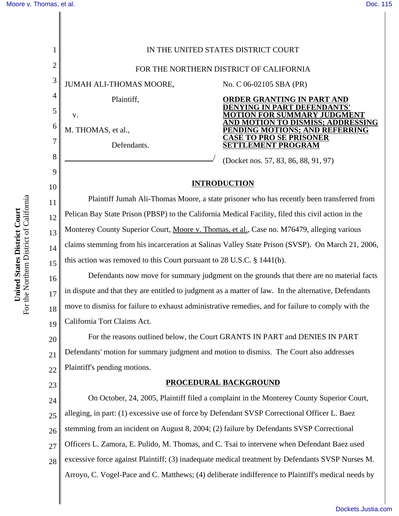1 2 3 4 5 6 7 8 9 10 11 12 13 14 15 16 17 18 19 20 21 22 23 24 25 26 27 28 IN THE UNITED STATES DISTRICT COURT FOR THE NORTHERN DISTRICT OF CALIFORNIA JUMAH ALI-THOMAS MOORE,<br>Plaintiff,<br>v.<br>M. THOMAS, et al.,<br>Defendants. No. C 06-02105 SBA (PR) **ORDER GRANTING IN PART AND DENYING IN PART DEFENDANTS' MOTION FOR SUMMARY JUDGMENT AND MOTION TO DISMISS; ADDRESSING PENDING MOTIONS; AND REFERRING CASE TO PRO SE PRISONER SETTLEMENT PROGRAM** (Docket nos. 57, 83, 86, 88, 91, 97) **INTRODUCTION** Plaintiff Jumah Ali-Thomas Moore, a state prisoner who has recently been transferred from Pelican Bay State Prison (PBSP) to the California Medical Facility, filed this civil action in the Monterey County Superior Court, Moore v. Thomas, et al., Case no. M76479, alleging various claims stemming from his incarceration at Salinas Valley State Prison (SVSP). On March 21, 2006, this action was removed to this Court pursuant to 28 U.S.C. § 1441(b). Defendants now move for summary judgment on the grounds that there are no material facts in dispute and that they are entitled to judgment as a matter of law. In the alternative, Defendants move to dismiss for failure to exhaust administrative remedies, and for failure to comply with the California Tort Claims Act. For the reasons outlined below, the Court GRANTS IN PART and DENIES IN PART Defendants' motion for summary judgment and motion to dismiss. The Court also addresses Plaintiff's pending motions. **PROCEDURAL BACKGROUND** On October, 24, 2005, Plaintiff filed a complaint in the Monterey County Superior Court, alleging, in part: (1) excessive use of force by Defendant SVSP Correctional Officer L. Baez stemming from an incident on August 8, 2004; (2) failure by Defendants SVSP Correctional Officers L. Zamora, E. Pulido, M. Thomas, and C. Tsai to intervene when Defendant Baez used excessive force against Plaintiff; (3) inadequate medical treatment by Defendants SVSP Nurses M. Arroyo, C. Vogel-Pace and C. Matthews; (4) deliberate indifference to Plaintiff's medical needs by

[Dockets.Justia.com](http://dockets.justia.com/)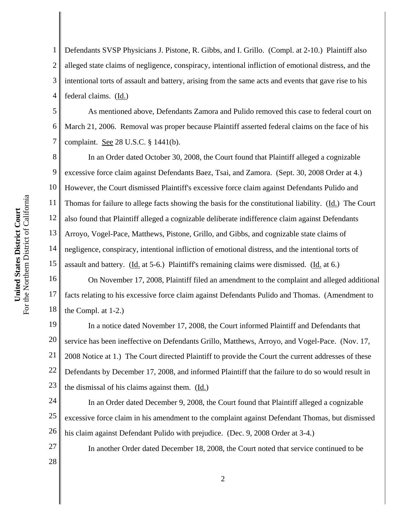1 2 3 4 Defendants SVSP Physicians J. Pistone, R. Gibbs, and I. Grillo. (Compl. at 2-10.) Plaintiff also alleged state claims of negligence, conspiracy, intentional infliction of emotional distress, and the intentional torts of assault and battery, arising from the same acts and events that gave rise to his federal claims. (Id.)

5 6 7 As mentioned above, Defendants Zamora and Pulido removed this case to federal court on March 21, 2006. Removal was proper because Plaintiff asserted federal claims on the face of his complaint. See 28 U.S.C. § 1441(b).

8 9 10 11 12 13 14 15 In an Order dated October 30, 2008, the Court found that Plaintiff alleged a cognizable excessive force claim against Defendants Baez, Tsai, and Zamora. (Sept. 30, 2008 Order at 4.) However, the Court dismissed Plaintiff's excessive force claim against Defendants Pulido and Thomas for failure to allege facts showing the basis for the constitutional liability. (Id.) The Court also found that Plaintiff alleged a cognizable deliberate indifference claim against Defendants Arroyo, Vogel-Pace, Matthews, Pistone, Grillo, and Gibbs, and cognizable state claims of negligence, conspiracy, intentional infliction of emotional distress, and the intentional torts of assault and battery. (Id. at 5-6.) Plaintiff's remaining claims were dismissed. (Id. at 6.)

16 17 18 On November 17, 2008, Plaintiff filed an amendment to the complaint and alleged additional facts relating to his excessive force claim against Defendants Pulido and Thomas. (Amendment to the Compl. at 1-2.)

19 20 21 22 23 In a notice dated November 17, 2008, the Court informed Plaintiff and Defendants that service has been ineffective on Defendants Grillo, Matthews, Arroyo, and Vogel-Pace. (Nov. 17, 2008 Notice at 1.) The Court directed Plaintiff to provide the Court the current addresses of these Defendants by December 17, 2008, and informed Plaintiff that the failure to do so would result in the dismissal of his claims against them. (Id.)

24 25 26 In an Order dated December 9, 2008, the Court found that Plaintiff alleged a cognizable excessive force claim in his amendment to the complaint against Defendant Thomas, but dismissed his claim against Defendant Pulido with prejudice. (Dec. 9, 2008 Order at 3-4.)

In another Order dated December 18, 2008, the Court noted that service continued to be

28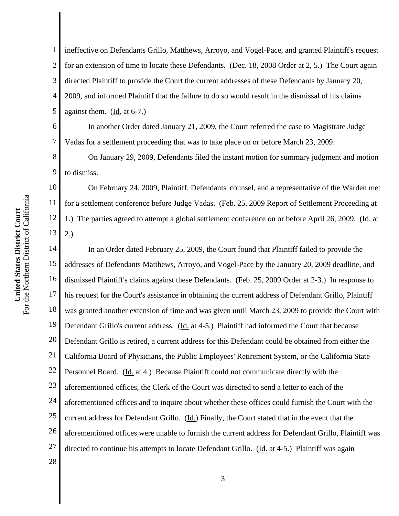9

11

12

13

1 2 3 4 5 ineffective on Defendants Grillo, Matthews, Arroyo, and Vogel-Pace, and granted Plaintiff's request for an extension of time to locate these Defendants. (Dec. 18, 2008 Order at 2, 5.) The Court again directed Plaintiff to provide the Court the current addresses of these Defendants by January 20, 2009, and informed Plaintiff that the failure to do so would result in the dismissal of his claims against them. (Id. at 6-7.)

6 7 In another Order dated January 21, 2009, the Court referred the case to Magistrate Judge Vadas for a settlement proceeding that was to take place on or before March 23, 2009.

On January 29, 2009, Defendants filed the instant motion for summary judgment and motion to dismiss.

10 On February 24, 2009, Plaintiff, Defendants' counsel, and a representative of the Warden met for a settlement conference before Judge Vadas. (Feb. 25, 2009 Report of Settlement Proceeding at 1.) The parties agreed to attempt a global settlement conference on or before April 26, 2009. (Id. at 2.)

14 15 16 17 18 19 20 21 22 23 24 25 26 27 28 In an Order dated February 25, 2009, the Court found that Plaintiff failed to provide the addresses of Defendants Matthews, Arroyo, and Vogel-Pace by the January 20, 2009 deadline, and dismissed Plaintiff's claims against these Defendants. (Feb. 25, 2009 Order at 2-3.) In response to his request for the Court's assistance in obtaining the current address of Defendant Grillo, Plaintiff was granted another extension of time and was given until March 23, 2009 to provide the Court with Defendant Grillo's current address. (Id. at 4-5.) Plaintiff had informed the Court that because Defendant Grillo is retired, a current address for this Defendant could be obtained from either the California Board of Physicians, the Public Employees' Retirement System, or the California State Personnel Board. (Id. at 4.) Because Plaintiff could not communicate directly with the aforementioned offices, the Clerk of the Court was directed to send a letter to each of the aforementioned offices and to inquire about whether these offices could furnish the Court with the current address for Defendant Grillo. (Id.) Finally, the Court stated that in the event that the aforementioned offices were unable to furnish the current address for Defendant Grillo, Plaintiff was directed to continue his attempts to locate Defendant Grillo. (Id. at 4-5.) Plaintiff was again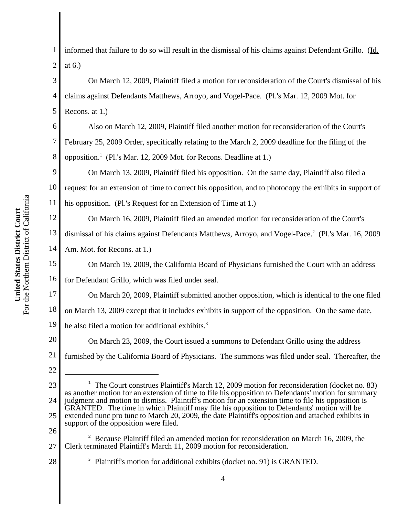1 2 informed that failure to do so will result in the dismissal of his claims against Defendant Grillo. (Id. at 6.)

3 4 5 On March 12, 2009, Plaintiff filed a motion for reconsideration of the Court's dismissal of his claims against Defendants Matthews, Arroyo, and Vogel-Pace. (Pl.'s Mar. 12, 2009 Mot. for Recons. at 1.)

6 7 8 Also on March 12, 2009, Plaintiff filed another motion for reconsideration of the Court's February 25, 2009 Order, specifically relating to the March 2, 2009 deadline for the filing of the opposition.<sup>1</sup> (Pl.'s Mar. 12, 2009 Mot. for Recons. Deadline at 1.)

9 10 11 On March 13, 2009, Plaintiff filed his opposition. On the same day, Plaintiff also filed a request for an extension of time to correct his opposition, and to photocopy the exhibits in support of his opposition. (Pl.'s Request for an Extension of Time at 1.)

12 13 14 On March 16, 2009, Plaintiff filed an amended motion for reconsideration of the Court's dismissal of his claims against Defendants Matthews, Arroyo, and Vogel-Pace.<sup>2</sup> (Pl.'s Mar. 16, 2009 Am. Mot. for Recons. at 1.)

15 16 On March 19, 2009, the California Board of Physicians furnished the Court with an address for Defendant Grillo, which was filed under seal.

17 18 19 On March 20, 2009, Plaintiff submitted another opposition, which is identical to the one filed on March 13, 2009 except that it includes exhibits in support of the opposition. On the same date, he also filed a motion for additional exhibits.<sup>3</sup>

20 21 On March 23, 2009, the Court issued a summons to Defendant Grillo using the address furnished by the California Board of Physicians. The summons was filed under seal. Thereafter, the

22

26

28

<sup>3</sup> Plaintiff's motion for additional exhibits (docket no. 91) is GRANTED.

<sup>23</sup> 24 25 <sup>1</sup> The Court construes Plaintiff's March 12, 2009 motion for reconsideration (docket no. 83) as another motion for an extension of time to file his opposition to Defendants' motion for summary judgment and motion to dismiss. Plaintiff's motion for an extension time to file his opposition is GRANTED. The time in which Plaintiff may file his opposition to Defendants' motion will be extended nunc pro tunc to March 20, 2009, the date Plaintiff's opposition and attached exhibits in support of the opposition were filed.

<sup>27</sup> <sup>2</sup> Because Plaintiff filed an amended motion for reconsideration on March 16, 2009, the Clerk terminated Plaintiff's March 11, 2009 motion for reconsideration.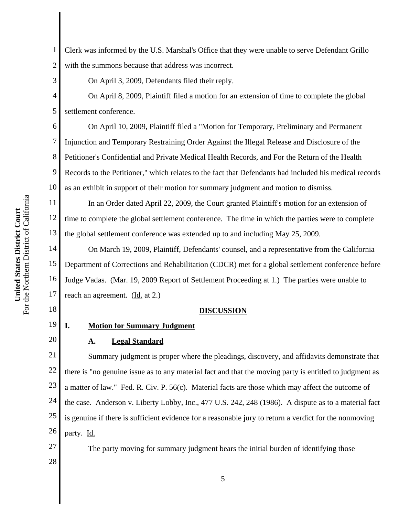1 2 Clerk was informed by the U.S. Marshal's Office that they were unable to serve Defendant Grillo with the summons because that address was incorrect.

On April 3, 2009, Defendants filed their reply.

3

4

5

7

8

9

13

18

20

On April 8, 2009, Plaintiff filed a motion for an extension of time to complete the global settlement conference.

6 10 On April 10, 2009, Plaintiff filed a "Motion for Temporary, Preliminary and Permanent Injunction and Temporary Restraining Order Against the Illegal Release and Disclosure of the Petitioner's Confidential and Private Medical Health Records, and For the Return of the Health Records to the Petitioner," which relates to the fact that Defendants had included his medical records as an exhibit in support of their motion for summary judgment and motion to dismiss.

11 12 In an Order dated April 22, 2009, the Court granted Plaintiff's motion for an extension of time to complete the global settlement conference. The time in which the parties were to complete the global settlement conference was extended up to and including May 25, 2009.

14 15 16 17 On March 19, 2009, Plaintiff, Defendants' counsel, and a representative from the California Department of Corrections and Rehabilitation (CDCR) met for a global settlement conference before Judge Vadas. (Mar. 19, 2009 Report of Settlement Proceeding at 1.) The parties were unable to reach an agreement. (Id. at 2.)

#### **DISCUSSION**

#### 19 **I. Motion for Summary Judgment**

# **A. Legal Standard**

21 22 23 24 25 26 Summary judgment is proper where the pleadings, discovery, and affidavits demonstrate that there is "no genuine issue as to any material fact and that the moving party is entitled to judgment as a matter of law." Fed. R. Civ. P. 56(c). Material facts are those which may affect the outcome of the case. Anderson v. Liberty Lobby, Inc., 477 U.S. 242, 248 (1986). A dispute as to a material fact is genuine if there is sufficient evidence for a reasonable jury to return a verdict for the nonmoving party. Id.

The party moving for summary judgment bears the initial burden of identifying those

28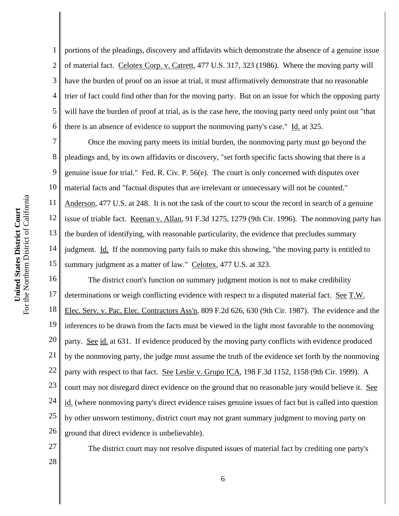1 2 3 4 5 6 portions of the pleadings, discovery and affidavits which demonstrate the absence of a genuine issue of material fact. Celotex Corp. v. Catrett, 477 U.S. 317, 323 (1986). Where the moving party will have the burden of proof on an issue at trial, it must affirmatively demonstrate that no reasonable trier of fact could find other than for the moving party. But on an issue for which the opposing party will have the burden of proof at trial, as is the case here, the moving party need only point out "that there is an absence of evidence to support the nonmoving party's case." Id. at 325.

7 8 9 10 11 12 13 14 15 Once the moving party meets its initial burden, the nonmoving party must go beyond the pleadings and, by its own affidavits or discovery, "set forth specific facts showing that there is a genuine issue for trial." Fed. R. Civ. P. 56(e). The court is only concerned with disputes over material facts and "factual disputes that are irrelevant or unnecessary will not be counted." Anderson, 477 U.S. at 248. It is not the task of the court to scour the record in search of a genuine issue of triable fact. Keenan v. Allan, 91 F.3d 1275, 1279 (9th Cir. 1996). The nonmoving party has the burden of identifying, with reasonable particularity, the evidence that precludes summary judgment. Id. If the nonmoving party fails to make this showing, "the moving party is entitled to summary judgment as a matter of law." Celotex, 477 U.S. at 323.

16 17 18 19 20 21 22 23 24 25 26 The district court's function on summary judgment motion is not to make credibility determinations or weigh conflicting evidence with respect to a disputed material fact. See T.W. Elec. Serv. v. Pac. Elec. Contractors Ass'n, 809 F.2d 626, 630 (9th Cir. 1987). The evidence and the inferences to be drawn from the facts must be viewed in the light most favorable to the nonmoving party. See id. at 631. If evidence produced by the moving party conflicts with evidence produced by the nonmoving party, the judge must assume the truth of the evidence set forth by the nonmoving party with respect to that fact. See Leslie v. Grupo ICA, 198 F.3d 1152, 1158 (9th Cir. 1999). A court may not disregard direct evidence on the ground that no reasonable jury would believe it. See id. (where nonmoving party's direct evidence raises genuine issues of fact but is called into question by other unsworn testimony, district court may not grant summary judgment to moving party on ground that direct evidence is unbelievable).

27

The district court may not resolve disputed issues of material fact by crediting one party's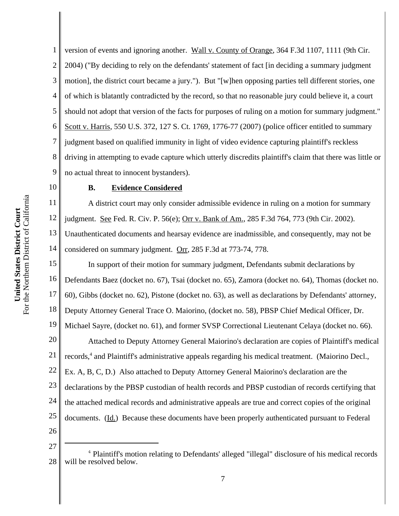1 2 3 4 5 version of events and ignoring another. Wall v. County of Orange, 364 F.3d 1107, 1111 (9th Cir. 2004) ("By deciding to rely on the defendants' statement of fact [in deciding a summary judgment motion], the district court became a jury."). But "[w]hen opposing parties tell different stories, one of which is blatantly contradicted by the record, so that no reasonable jury could believe it, a court should not adopt that version of the facts for purposes of ruling on a motion for summary judgment." Scott v. Harris, 550 U.S. 372, 127 S. Ct. 1769, 1776-77 (2007) (police officer entitled to summary judgment based on qualified immunity in light of video evidence capturing plaintiff's reckless driving in attempting to evade capture which utterly discredits plaintiff's claim that there was little or no actual threat to innocent bystanders).

#### **B. Evidence Considered**

A district court may only consider admissible evidence in ruling on a motion for summary judgment. See Fed. R. Civ. P. 56(e); Orr v. Bank of Am., 285 F.3d 764, 773 (9th Cir. 2002). Unauthenticated documents and hearsay evidence are inadmissible, and consequently, may not be considered on summary judgment. Orr, 285 F.3d at 773-74, 778.

17 18 19 20 21 22 23 24 25 26 In support of their motion for summary judgment, Defendants submit declarations by Defendants Baez (docket no. 67), Tsai (docket no. 65), Zamora (docket no. 64), Thomas (docket no. 60), Gibbs (docket no. 62), Pistone (docket no. 63), as well as declarations by Defendants' attorney, Deputy Attorney General Trace O. Maiorino, (docket no. 58), PBSP Chief Medical Officer, Dr. Michael Sayre, (docket no. 61), and former SVSP Correctional Lieutenant Celaya (docket no. 66). Attached to Deputy Attorney General Maiorino's declaration are copies of Plaintiff's medical records,<sup>4</sup> and Plaintiff's administrative appeals regarding his medical treatment. (Maiorino Decl., Ex. A, B, C, D.) Also attached to Deputy Attorney General Maiorino's declaration are the declarations by the PBSP custodian of health records and PBSP custodian of records certifying that the attached medical records and administrative appeals are true and correct copies of the original documents. (Id.) Because these documents have been properly authenticated pursuant to Federal

<sup>28</sup> <sup>4</sup> Plaintiff's motion relating to Defendants' alleged "illegal" disclosure of his medical records will be resolved below.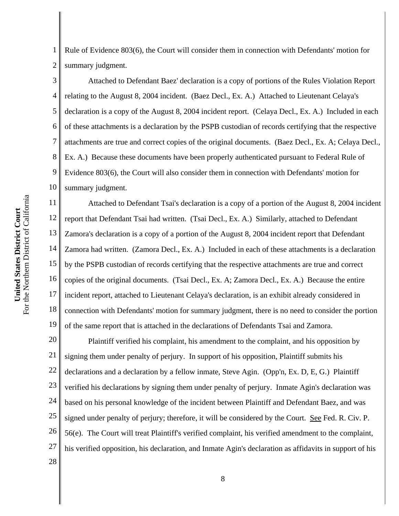1 2 Rule of Evidence 803(6), the Court will consider them in connection with Defendants' motion for summary judgment.

3 4 5 6 7 8 9 10 Attached to Defendant Baez' declaration is a copy of portions of the Rules Violation Report relating to the August 8, 2004 incident. (Baez Decl., Ex. A.) Attached to Lieutenant Celaya's declaration is a copy of the August 8, 2004 incident report. (Celaya Decl., Ex. A.) Included in each of these attachments is a declaration by the PSPB custodian of records certifying that the respective attachments are true and correct copies of the original documents. (Baez Decl., Ex. A; Celaya Decl., Ex. A.) Because these documents have been properly authenticated pursuant to Federal Rule of Evidence 803(6), the Court will also consider them in connection with Defendants' motion for summary judgment.

11 12 13 14 15 16 17 18 19 Attached to Defendant Tsai's declaration is a copy of a portion of the August 8, 2004 incident report that Defendant Tsai had written. (Tsai Decl., Ex. A.) Similarly, attached to Defendant Zamora's declaration is a copy of a portion of the August 8, 2004 incident report that Defendant Zamora had written. (Zamora Decl., Ex. A.) Included in each of these attachments is a declaration by the PSPB custodian of records certifying that the respective attachments are true and correct copies of the original documents. (Tsai Decl., Ex. A; Zamora Decl., Ex. A.) Because the entire incident report, attached to Lieutenant Celaya's declaration, is an exhibit already considered in connection with Defendants' motion for summary judgment, there is no need to consider the portion of the same report that is attached in the declarations of Defendants Tsai and Zamora.

20 21 22 23 24 25 26 27 28 Plaintiff verified his complaint, his amendment to the complaint, and his opposition by signing them under penalty of perjury. In support of his opposition, Plaintiff submits his declarations and a declaration by a fellow inmate, Steve Agin. (Opp'n, Ex. D, E, G.) Plaintiff verified his declarations by signing them under penalty of perjury. Inmate Agin's declaration was based on his personal knowledge of the incident between Plaintiff and Defendant Baez, and was signed under penalty of perjury; therefore, it will be considered by the Court. See Fed. R. Civ. P. 56(e). The Court will treat Plaintiff's verified complaint, his verified amendment to the complaint, his verified opposition, his declaration, and Inmate Agin's declaration as affidavits in support of his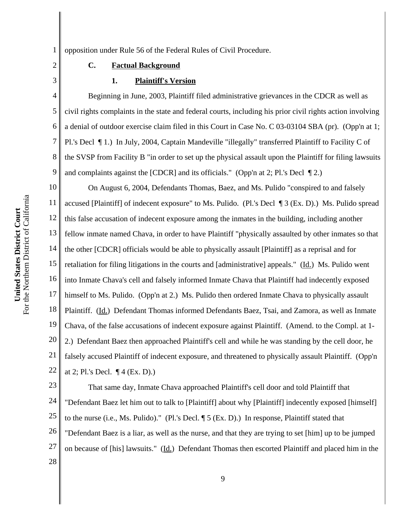3

1 opposition under Rule 56 of the Federal Rules of Civil Procedure.

### **C. Factual Background**

### **1. Plaintiff's Version**

4 5 6 7 8 9 Beginning in June, 2003, Plaintiff filed administrative grievances in the CDCR as well as civil rights complaints in the state and federal courts, including his prior civil rights action involving a denial of outdoor exercise claim filed in this Court in Case No. C 03-03104 SBA (pr). (Opp'n at 1; Pl.'s Decl ¶ 1.) In July, 2004, Captain Mandeville "illegally" transferred Plaintiff to Facility C of the SVSP from Facility B "in order to set up the physical assault upon the Plaintiff for filing lawsuits and complaints against the [CDCR] and its officials." (Opp'n at 2; Pl.'s Decl  $\P$ 2.)

10 11 12 13 14 15 16 17 18 19 20 21 22 On August 6, 2004, Defendants Thomas, Baez, and Ms. Pulido "conspired to and falsely accused [Plaintiff] of indecent exposure" to Ms. Pulido. (Pl.'s Decl ¶ 3 (Ex. D).) Ms. Pulido spread this false accusation of indecent exposure among the inmates in the building, including another fellow inmate named Chava, in order to have Plaintiff "physically assaulted by other inmates so that the other [CDCR] officials would be able to physically assault [Plaintiff] as a reprisal and for retaliation for filing litigations in the courts and [administrative] appeals." (Id.) Ms. Pulido went into Inmate Chava's cell and falsely informed Inmate Chava that Plaintiff had indecently exposed himself to Ms. Pulido. (Opp'n at 2.) Ms. Pulido then ordered Inmate Chava to physically assault Plaintiff. (Id.) Defendant Thomas informed Defendants Baez, Tsai, and Zamora, as well as Inmate Chava, of the false accusations of indecent exposure against Plaintiff. (Amend. to the Compl. at 1- 2.) Defendant Baez then approached Plaintiff's cell and while he was standing by the cell door, he falsely accused Plaintiff of indecent exposure, and threatened to physically assault Plaintiff. (Opp'n at 2; Pl.'s Decl. ¶ 4 (Ex. D).)

23 24 25 26 27 28 That same day, Inmate Chava approached Plaintiff's cell door and told Plaintiff that "Defendant Baez let him out to talk to [Plaintiff] about why [Plaintiff] indecently exposed [himself] to the nurse (i.e., Ms. Pulido)." (Pl.'s Decl. ¶ 5 (Ex. D).) In response, Plaintiff stated that "Defendant Baez is a liar, as well as the nurse, and that they are trying to set [him] up to be jumped on because of [his] lawsuits." (Id.) Defendant Thomas then escorted Plaintiff and placed him in the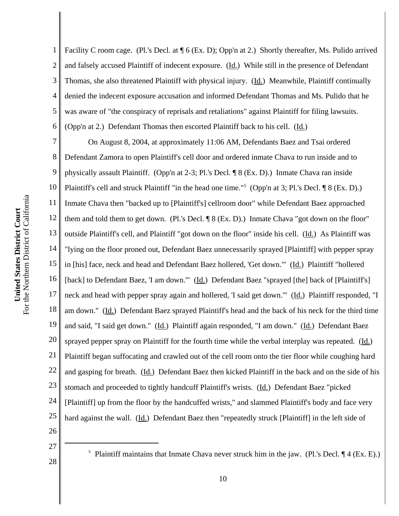1 2 3 4 5 6 Facility C room cage. (Pl.'s Decl. at  $\P$  6 (Ex. D); Opp'n at 2.) Shortly thereafter, Ms. Pulido arrived and falsely accused Plaintiff of indecent exposure. (Id.) While still in the presence of Defendant Thomas, she also threatened Plaintiff with physical injury. (Id.) Meanwhile, Plaintiff continually denied the indecent exposure accusation and informed Defendant Thomas and Ms. Pulido that he was aware of "the conspiracy of reprisals and retaliations" against Plaintiff for filing lawsuits. (Opp'n at 2.) Defendant Thomas then escorted Plaintiff back to his cell. (Id.)

7 8 9 10 11 12 13 14 15 16 17 18 19 20 21 22 23 24 25 On August 8, 2004, at approximately 11:06 AM, Defendants Baez and Tsai ordered Defendant Zamora to open Plaintiff's cell door and ordered inmate Chava to run inside and to physically assault Plaintiff. (Opp'n at 2-3; Pl.'s Decl. ¶ 8 (Ex. D).) Inmate Chava ran inside Plaintiff's cell and struck Plaintiff "in the head one time."<sup>5</sup> (Opp'n at 3; Pl.'s Decl. ¶ 8 (Ex. D).) Inmate Chava then "backed up to [Plaintiff's] cellroom door" while Defendant Baez approached them and told them to get down. (Pl.'s Decl. ¶ 8 (Ex. D).) Inmate Chava "got down on the floor" outside Plaintiff's cell, and Plaintiff "got down on the floor" inside his cell. (Id.) As Plaintiff was "lying on the floor proned out, Defendant Baez unnecessarily sprayed [Plaintiff] with pepper spray in [his] face, neck and head and Defendant Baez hollered, 'Get down.'" (Id.) Plaintiff "hollered [back] to Defendant Baez, 'I am down.'" (Id.) Defendant Baez "sprayed [the] back of [Plaintiff's] neck and head with pepper spray again and hollered, 'I said get down.'" (Id.) Plaintiff responded, "I am down." (Id.) Defendant Baez sprayed Plaintiff's head and the back of his neck for the third time and said, "I said get down." (Id.) Plaintiff again responded, "I am down." (Id.) Defendant Baez sprayed pepper spray on Plaintiff for the fourth time while the verbal interplay was repeated. (Id.) Plaintiff began suffocating and crawled out of the cell room onto the tier floor while coughing hard and gasping for breath. (Id.) Defendant Baez then kicked Plaintiff in the back and on the side of his stomach and proceeded to tightly handcuff Plaintiff's wrists. (Id.) Defendant Baez "picked [Plaintiff] up from the floor by the handcuffed wrists," and slammed Plaintiff's body and face very hard against the wall. (Id.) Defendant Baez then "repeatedly struck [Plaintiff] in the left side of

26 27

28

<sup>5</sup> Plaintiff maintains that Inmate Chava never struck him in the jaw. (Pl.'s Decl.  $\P$  4 (Ex. E).)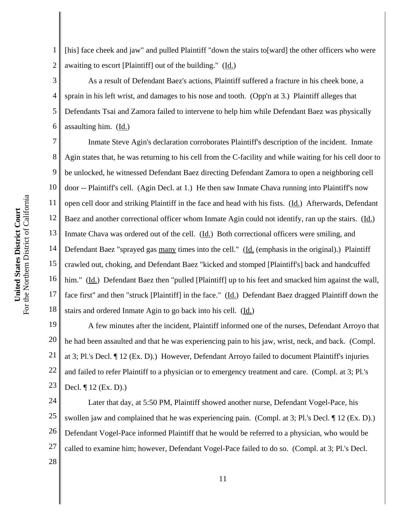1 2 [his] face cheek and jaw" and pulled Plaintiff "down the stairs to[ward] the other officers who were awaiting to escort [Plaintiff] out of the building." (Id.)

3 4 5 6 As a result of Defendant Baez's actions, Plaintiff suffered a fracture in his cheek bone, a sprain in his left wrist, and damages to his nose and tooth. (Opp'n at 3.) Plaintiff alleges that Defendants Tsai and Zamora failed to intervene to help him while Defendant Baez was physically assaulting him. (Id.)

7 8 9 10 11 12 13 14 15 16 17 18 Inmate Steve Agin's declaration corroborates Plaintiff's description of the incident. Inmate Agin states that, he was returning to his cell from the C-facility and while waiting for his cell door to be unlocked, he witnessed Defendant Baez directing Defendant Zamora to open a neighboring cell door -- Plaintiff's cell. (Agin Decl. at 1.) He then saw Inmate Chava running into Plaintiff's now open cell door and striking Plaintiff in the face and head with his fists. (Id.) Afterwards, Defendant Baez and another correctional officer whom Inmate Agin could not identify, ran up the stairs. (Id.) Inmate Chava was ordered out of the cell. (Id.) Both correctional officers were smiling, and Defendant Baez "sprayed gas many times into the cell." (Id. (emphasis in the original).) Plaintiff crawled out, choking, and Defendant Baez "kicked and stomped [Plaintiff's] back and handcuffed him." (Id.) Defendant Baez then "pulled [Plaintiff] up to his feet and smacked him against the wall, face first" and then "struck [Plaintiff] in the face." (Id.) Defendant Baez dragged Plaintiff down the stairs and ordered Inmate Agin to go back into his cell. (Id.)

19 20 21 22 23 A few minutes after the incident, Plaintiff informed one of the nurses, Defendant Arroyo that he had been assaulted and that he was experiencing pain to his jaw, wrist, neck, and back. (Compl. at 3; Pl.'s Decl. ¶ 12 (Ex. D).) However, Defendant Arroyo failed to document Plaintiff's injuries and failed to refer Plaintiff to a physician or to emergency treatment and care. (Compl. at 3; Pl.'s Decl. ¶ 12 (Ex. D).)

24 25 26 27 28 Later that day, at 5:50 PM, Plaintiff showed another nurse, Defendant Vogel-Pace, his swollen jaw and complained that he was experiencing pain. (Compl. at 3; Pl.'s Decl. ¶ 12 (Ex. D).) Defendant Vogel-Pace informed Plaintiff that he would be referred to a physician, who would be called to examine him; however, Defendant Vogel-Pace failed to do so. (Compl. at 3; Pl.'s Decl.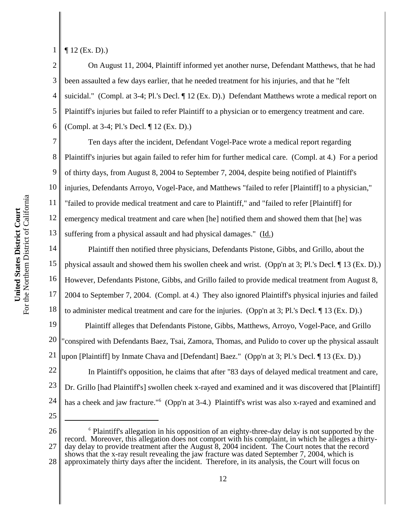For the Northern District of California For the Northern District of California United States District Court **United States District Court**

1 ¶ 12 (Ex. D).)

7

2 3 4 5 6 On August 11, 2004, Plaintiff informed yet another nurse, Defendant Matthews, that he had been assaulted a few days earlier, that he needed treatment for his injuries, and that he "felt suicidal." (Compl. at 3-4; Pl.'s Decl. ¶ 12 (Ex. D).) Defendant Matthews wrote a medical report on Plaintiff's injuries but failed to refer Plaintiff to a physician or to emergency treatment and care. (Compl. at 3-4; Pl.'s Decl. ¶ 12 (Ex. D).)

8 9 10 11 12 13 Ten days after the incident, Defendant Vogel-Pace wrote a medical report regarding Plaintiff's injuries but again failed to refer him for further medical care. (Compl. at 4.) For a period of thirty days, from August 8, 2004 to September 7, 2004, despite being notified of Plaintiff's injuries, Defendants Arroyo, Vogel-Pace, and Matthews "failed to refer [Plaintiff] to a physician," "failed to provide medical treatment and care to Plaintiff," and "failed to refer [Plaintiff] for emergency medical treatment and care when [he] notified them and showed them that [he] was suffering from a physical assault and had physical damages." (Id.)

14 15 16 17 18 Plaintiff then notified three physicians, Defendants Pistone, Gibbs, and Grillo, about the physical assault and showed them his swollen cheek and wrist. (Opp'n at 3; Pl.'s Decl. ¶ 13 (Ex. D).) However, Defendants Pistone, Gibbs, and Grillo failed to provide medical treatment from August 8, 2004 to September 7, 2004. (Compl. at 4.) They also ignored Plaintiff's physical injuries and failed to administer medical treatment and care for the injuries. (Opp'n at 3; Pl.'s Decl. ¶ 13 (Ex. D).)

19 20 21 Plaintiff alleges that Defendants Pistone, Gibbs, Matthews, Arroyo, Vogel-Pace, and Grillo "conspired with Defendants Baez, Tsai, Zamora, Thomas, and Pulido to cover up the physical assault upon [Plaintiff] by Inmate Chava and [Defendant] Baez." (Opp'n at 3; Pl.'s Decl. ¶ 13 (Ex. D).)

22 23 24 In Plaintiff's opposition, he claims that after "83 days of delayed medical treatment and care, Dr. Grillo [had Plaintiff's] swollen cheek x-rayed and examined and it was discovered that [Plaintiff] has a cheek and jaw fracture."<sup>6</sup> (Opp'n at 3-4.) Plaintiff's wrist was also x-rayed and examined and

25

26 27 28 <sup>6</sup> Plaintiff's allegation in his opposition of an eighty-three-day delay is not supported by the record. Moreover, this allegation does not comport with his complaint, in which he alleges a thirtyday delay to provide treatment after the August 8, 2004 incident. The Court notes that the record shows that the x-ray result revealing the jaw fracture was dated September 7, 2004, which is approximately thirty days after the incident. Therefore, in its analysis, the Court will focus on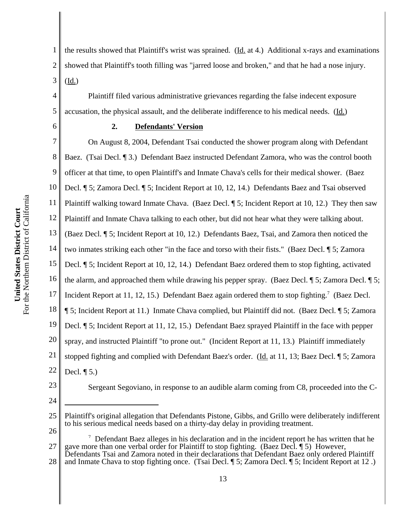For the Northern District of California For the Northern District of California United States District Court **United States District Court**

1 2 3 the results showed that Plaintiff's wrist was sprained. (Id. at 4.) Additional x-rays and examinations showed that Plaintiff's tooth filling was "jarred loose and broken," and that he had a nose injury. (Id.)

Plaintiff filed various administrative grievances regarding the false indecent exposure accusation, the physical assault, and the deliberate indifference to his medical needs. (Id.)

## **2. Defendants' Version**

7 8 9 10 11 12 13 14 15 16 17 18 19 20 21 22 On August 8, 2004, Defendant Tsai conducted the shower program along with Defendant Baez. (Tsai Decl. ¶ 3.) Defendant Baez instructed Defendant Zamora, who was the control booth officer at that time, to open Plaintiff's and Inmate Chava's cells for their medical shower. (Baez Decl. ¶ 5; Zamora Decl. ¶ 5; Incident Report at 10, 12, 14.) Defendants Baez and Tsai observed Plaintiff walking toward Inmate Chava. (Baez Decl. ¶ 5; Incident Report at 10, 12.) They then saw Plaintiff and Inmate Chava talking to each other, but did not hear what they were talking about. (Baez Decl. ¶ 5; Incident Report at 10, 12.) Defendants Baez, Tsai, and Zamora then noticed the two inmates striking each other "in the face and torso with their fists." (Baez Decl. ¶ 5; Zamora Decl. ¶ 5; Incident Report at 10, 12, 14.) Defendant Baez ordered them to stop fighting, activated the alarm, and approached them while drawing his pepper spray. (Baez Decl. ¶ 5; Zamora Decl. ¶ 5; Incident Report at 11, 12, 15.) Defendant Baez again ordered them to stop fighting.<sup>7</sup> (Baez Decl. ¶ 5; Incident Report at 11.) Inmate Chava complied, but Plaintiff did not. (Baez Decl. ¶ 5; Zamora Decl. ¶ 5; Incident Report at 11, 12, 15.) Defendant Baez sprayed Plaintiff in the face with pepper spray, and instructed Plaintiff "to prone out." (Incident Report at 11, 13.) Plaintiff immediately stopped fighting and complied with Defendant Baez's order. (Id. at 11, 13; Baez Decl. 15; Zamora Decl. ¶ 5.)

23 24

4

5

6

Sergeant Segoviano, in response to an audible alarm coming from C8, proceeded into the C-

26

28 and Inmate Chava to stop fighting once. (Tsai Decl. ¶ 5; Zamora Decl. ¶ 5; Incident Report at 12 .)

<sup>25</sup> Plaintiff's original allegation that Defendants Pistone, Gibbs, and Grillo were deliberately indifferent to his serious medical needs based on a thirty-day delay in providing treatment.

<sup>27</sup> <sup>7</sup> Defendant Baez alleges in his declaration and in the incident report he has written that he gave more than one verbal order for Plaintiff to stop fighting. (Baez Decl. ¶ 5) However, Defendants Tsai and Zamora noted in their declarations that Defendant Baez only ordered Plaintiff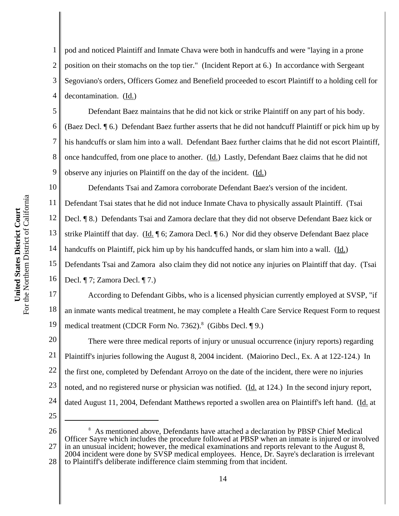1 2 3 4 pod and noticed Plaintiff and Inmate Chava were both in handcuffs and were "laying in a prone position on their stomachs on the top tier." (Incident Report at 6.) In accordance with Sergeant Segoviano's orders, Officers Gomez and Benefield proceeded to escort Plaintiff to a holding cell for decontamination. (Id.)

5 6 8 9 Defendant Baez maintains that he did not kick or strike Plaintiff on any part of his body. (Baez Decl. ¶ 6.) Defendant Baez further asserts that he did not handcuff Plaintiff or pick him up by his handcuffs or slam him into a wall. Defendant Baez further claims that he did not escort Plaintiff, once handcuffed, from one place to another. (Id.) Lastly, Defendant Baez claims that he did not observe any injuries on Plaintiff on the day of the incident. (Id.)

10 11 12 13 14 15 16 Defendants Tsai and Zamora corroborate Defendant Baez's version of the incident. Defendant Tsai states that he did not induce Inmate Chava to physically assault Plaintiff. (Tsai Decl. ¶ 8.) Defendants Tsai and Zamora declare that they did not observe Defendant Baez kick or strike Plaintiff that day. (Id. ¶ 6; Zamora Decl. ¶ 6.) Nor did they observe Defendant Baez place handcuffs on Plaintiff, pick him up by his handcuffed hands, or slam him into a wall. (Id.) Defendants Tsai and Zamora also claim they did not notice any injuries on Plaintiff that day. (Tsai Decl. ¶ 7; Zamora Decl. ¶ 7.)

17 18 19 According to Defendant Gibbs, who is a licensed physician currently employed at SVSP, "if an inmate wants medical treatment, he may complete a Health Care Service Request Form to request medical treatment (CDCR Form No. 7362).<sup>8</sup> (Gibbs Decl. 19.)

20 21 22 23 24 25 There were three medical reports of injury or unusual occurrence (injury reports) regarding Plaintiff's injuries following the August 8, 2004 incident. (Maiorino Decl., Ex. A at 122-124.) In the first one, completed by Defendant Arroyo on the date of the incident, there were no injuries noted, and no registered nurse or physician was notified. (Id. at 124.) In the second injury report, dated August 11, 2004, Defendant Matthews reported a swollen area on Plaintiff's left hand. (Id. at

26

27 28 <sup>8</sup> As mentioned above, Defendants have attached a declaration by PBSP Chief Medical Officer Sayre which includes the procedure followed at PBSP when an inmate is injured or involved in an unusual incident; however, the medical examinations and reports relevant to the August 8, 2004 incident were done by SVSP medical employees. Hence, Dr. Sayre's declaration is irrelevant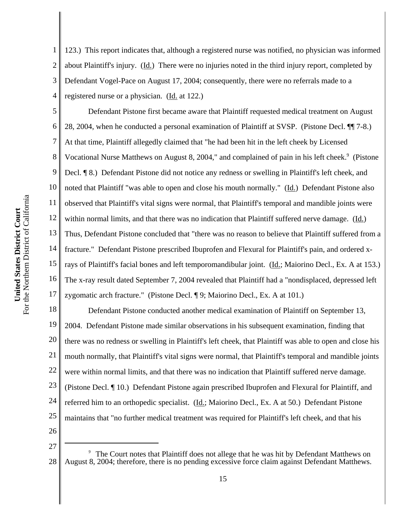2

3

4 123.) This report indicates that, although a registered nurse was notified, no physician was informed about Plaintiff's injury. (Id.) There were no injuries noted in the third injury report, completed by Defendant Vogel-Pace on August 17, 2004; consequently, there were no referrals made to a registered nurse or a physician. (Id. at 122.)

5 6 7 8 9 16 17 Defendant Pistone first became aware that Plaintiff requested medical treatment on August 28, 2004, when he conducted a personal examination of Plaintiff at SVSP. (Pistone Decl. ¶¶ 7-8.) At that time, Plaintiff allegedly claimed that "he had been hit in the left cheek by Licensed Vocational Nurse Matthews on August 8, 2004," and complained of pain in his left cheek.<sup>9</sup> (Pistone Decl. ¶ 8.) Defendant Pistone did not notice any redness or swelling in Plaintiff's left cheek, and noted that Plaintiff "was able to open and close his mouth normally." (Id.) Defendant Pistone also observed that Plaintiff's vital signs were normal, that Plaintiff's temporal and mandible joints were within normal limits, and that there was no indication that Plaintiff suffered nerve damage. (Id.) Thus, Defendant Pistone concluded that "there was no reason to believe that Plaintiff suffered from a fracture." Defendant Pistone prescribed Ibuprofen and Flexural for Plaintiff's pain, and ordered xrays of Plaintiff's facial bones and left temporomandibular joint. (Id.; Maiorino Decl., Ex. A at 153.) The x-ray result dated September 7, 2004 revealed that Plaintiff had a "nondisplaced, depressed left zygomatic arch fracture." (Pistone Decl. ¶ 9; Maiorino Decl., Ex. A at 101.)

18 19 20 21 22 23 24 25 26 Defendant Pistone conducted another medical examination of Plaintiff on September 13, 2004. Defendant Pistone made similar observations in his subsequent examination, finding that there was no redness or swelling in Plaintiff's left cheek, that Plaintiff was able to open and close his mouth normally, that Plaintiff's vital signs were normal, that Plaintiff's temporal and mandible joints were within normal limits, and that there was no indication that Plaintiff suffered nerve damage. (Pistone Decl. ¶ 10.) Defendant Pistone again prescribed Ibuprofen and Flexural for Plaintiff, and referred him to an orthopedic specialist. (Id.; Maiorino Decl., Ex. A at 50.) Defendant Pistone maintains that "no further medical treatment was required for Plaintiff's left cheek, and that his

<sup>28</sup> The Court notes that Plaintiff does not allege that he was hit by Defendant Matthews on August 8, 2004; therefore, there is no pending excessive force claim against Defendant Matthews.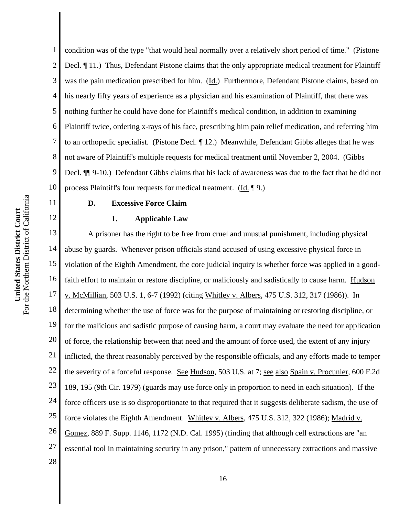12

1 2 3 4 5 6 7 8 9 10 condition was of the type "that would heal normally over a relatively short period of time." (Pistone Decl. ¶ 11.) Thus, Defendant Pistone claims that the only appropriate medical treatment for Plaintiff was the pain medication prescribed for him. (Id.) Furthermore, Defendant Pistone claims, based on his nearly fifty years of experience as a physician and his examination of Plaintiff, that there was nothing further he could have done for Plaintiff's medical condition, in addition to examining Plaintiff twice, ordering x-rays of his face, prescribing him pain relief medication, and referring him to an orthopedic specialist. (Pistone Decl. ¶ 12.) Meanwhile, Defendant Gibbs alleges that he was not aware of Plaintiff's multiple requests for medical treatment until November 2, 2004. (Gibbs Decl. ¶¶ 9-10.) Defendant Gibbs claims that his lack of awareness was due to the fact that he did not process Plaintiff's four requests for medical treatment. (Id. ¶ 9.)

#### **D. Excessive Force Claim**

### **1. Applicable Law**

13 14 15 16 17 18 19 20 21 22 23 24 25 26 27 28 A prisoner has the right to be free from cruel and unusual punishment, including physical abuse by guards. Whenever prison officials stand accused of using excessive physical force in violation of the Eighth Amendment, the core judicial inquiry is whether force was applied in a goodfaith effort to maintain or restore discipline, or maliciously and sadistically to cause harm. Hudson v. McMillian, 503 U.S. 1, 6-7 (1992) (citing Whitley v. Albers, 475 U.S. 312, 317 (1986)). In determining whether the use of force was for the purpose of maintaining or restoring discipline, or for the malicious and sadistic purpose of causing harm, a court may evaluate the need for application of force, the relationship between that need and the amount of force used, the extent of any injury inflicted, the threat reasonably perceived by the responsible officials, and any efforts made to temper the severity of a forceful response. See Hudson, 503 U.S. at 7; see also Spain v. Procunier, 600 F.2d 189, 195 (9th Cir. 1979) (guards may use force only in proportion to need in each situation). If the force officers use is so disproportionate to that required that it suggests deliberate sadism, the use of force violates the Eighth Amendment. Whitley v. Albers, 475 U.S. 312, 322 (1986); Madrid v. Gomez, 889 F. Supp. 1146, 1172 (N.D. Cal. 1995) (finding that although cell extractions are "an essential tool in maintaining security in any prison," pattern of unnecessary extractions and massive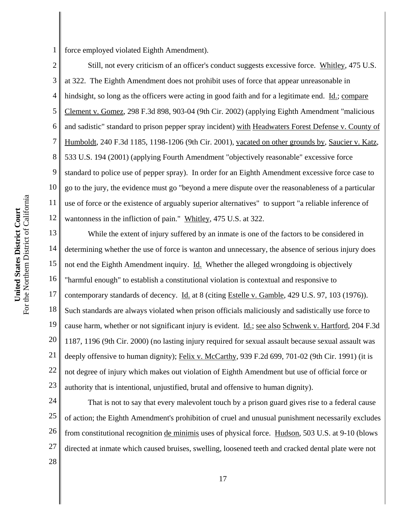1 force employed violated Eighth Amendment).

2 3 4 5 6 7 8 9 10 11 12 Still, not every criticism of an officer's conduct suggests excessive force. Whitley, 475 U.S. at 322. The Eighth Amendment does not prohibit uses of force that appear unreasonable in hindsight, so long as the officers were acting in good faith and for a legitimate end. Id.; compare Clement v. Gomez, 298 F.3d 898, 903-04 (9th Cir. 2002) (applying Eighth Amendment "malicious and sadistic" standard to prison pepper spray incident) with Headwaters Forest Defense v. County of Humboldt, 240 F.3d 1185, 1198-1206 (9th Cir. 2001), vacated on other grounds by, Saucier v. Katz, 533 U.S. 194 (2001) (applying Fourth Amendment "objectively reasonable" excessive force standard to police use of pepper spray). In order for an Eighth Amendment excessive force case to go to the jury, the evidence must go "beyond a mere dispute over the reasonableness of a particular use of force or the existence of arguably superior alternatives" to support "a reliable inference of wantonness in the infliction of pain." Whitley, 475 U.S. at 322.

13 14 15 16 17 18 19 20 21 22 23 While the extent of injury suffered by an inmate is one of the factors to be considered in determining whether the use of force is wanton and unnecessary, the absence of serious injury does not end the Eighth Amendment inquiry. *Id.* Whether the alleged wrongdoing is objectively "harmful enough" to establish a constitutional violation is contextual and responsive to contemporary standards of decency. Id. at 8 (citing Estelle v. Gamble, 429 U.S. 97, 103 (1976)). Such standards are always violated when prison officials maliciously and sadistically use force to cause harm, whether or not significant injury is evident. Id.; see also Schwenk v. Hartford, 204 F.3d 1187, 1196 (9th Cir. 2000) (no lasting injury required for sexual assault because sexual assault was deeply offensive to human dignity); Felix v. McCarthy, 939 F.2d 699, 701-02 (9th Cir. 1991) (it is not degree of injury which makes out violation of Eighth Amendment but use of official force or authority that is intentional, unjustified, brutal and offensive to human dignity).

24 25 26 27 28 That is not to say that every malevolent touch by a prison guard gives rise to a federal cause of action; the Eighth Amendment's prohibition of cruel and unusual punishment necessarily excludes from constitutional recognition de minimis uses of physical force. Hudson, 503 U.S. at 9-10 (blows directed at inmate which caused bruises, swelling, loosened teeth and cracked dental plate were not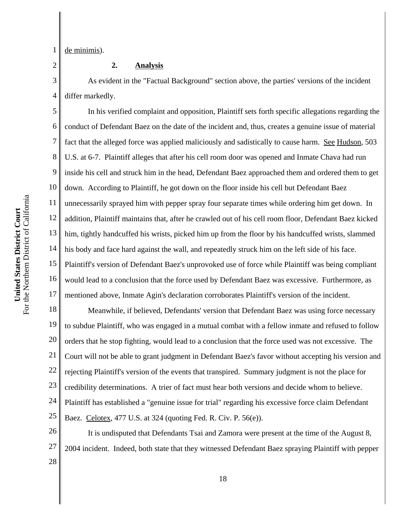1 de minimis).

2

3

4

### **2. Analysis**

As evident in the "Factual Background" section above, the parties' versions of the incident differ markedly.

5 6 7 8 9 10 11 12 13 14 15 16 17 In his verified complaint and opposition, Plaintiff sets forth specific allegations regarding the conduct of Defendant Baez on the date of the incident and, thus, creates a genuine issue of material fact that the alleged force was applied maliciously and sadistically to cause harm. See Hudson, 503 U.S. at 6-7. Plaintiff alleges that after his cell room door was opened and Inmate Chava had run inside his cell and struck him in the head, Defendant Baez approached them and ordered them to get down. According to Plaintiff, he got down on the floor inside his cell but Defendant Baez unnecessarily sprayed him with pepper spray four separate times while ordering him get down. In addition, Plaintiff maintains that, after he crawled out of his cell room floor, Defendant Baez kicked him, tightly handcuffed his wrists, picked him up from the floor by his handcuffed wrists, slammed his body and face hard against the wall, and repeatedly struck him on the left side of his face. Plaintiff's version of Defendant Baez's unprovoked use of force while Plaintiff was being compliant would lead to a conclusion that the force used by Defendant Baez was excessive. Furthermore, as mentioned above, Inmate Agin's declaration corroborates Plaintiff's version of the incident.

18 19 20 21 22 23 24 25 Meanwhile, if believed, Defendants' version that Defendant Baez was using force necessary to subdue Plaintiff, who was engaged in a mutual combat with a fellow inmate and refused to follow orders that he stop fighting, would lead to a conclusion that the force used was not excessive. The Court will not be able to grant judgment in Defendant Baez's favor without accepting his version and rejecting Plaintiff's version of the events that transpired. Summary judgment is not the place for credibility determinations. A trier of fact must hear both versions and decide whom to believe. Plaintiff has established a "genuine issue for trial" regarding his excessive force claim Defendant Baez. Celotex, 477 U.S. at 324 (quoting Fed. R. Civ. P. 56(e)).

26 27 28 It is undisputed that Defendants Tsai and Zamora were present at the time of the August 8, 2004 incident. Indeed, both state that they witnessed Defendant Baez spraying Plaintiff with pepper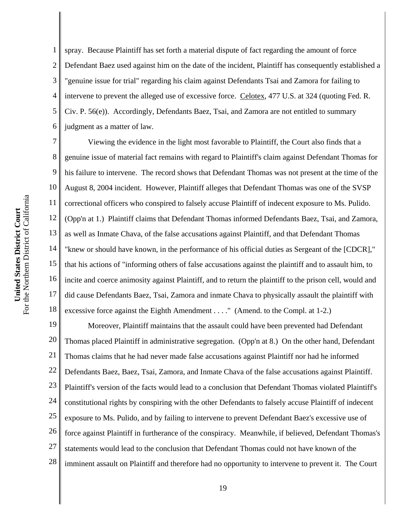1 2 3 4 5 6 spray. Because Plaintiff has set forth a material dispute of fact regarding the amount of force Defendant Baez used against him on the date of the incident, Plaintiff has consequently established a "genuine issue for trial" regarding his claim against Defendants Tsai and Zamora for failing to intervene to prevent the alleged use of excessive force. Celotex, 477 U.S. at 324 (quoting Fed. R. Civ. P. 56(e)). Accordingly, Defendants Baez, Tsai, and Zamora are not entitled to summary judgment as a matter of law.

7 8 9 10 11 12 13 14 15 16 17 18 Viewing the evidence in the light most favorable to Plaintiff, the Court also finds that a genuine issue of material fact remains with regard to Plaintiff's claim against Defendant Thomas for his failure to intervene. The record shows that Defendant Thomas was not present at the time of the August 8, 2004 incident. However, Plaintiff alleges that Defendant Thomas was one of the SVSP correctional officers who conspired to falsely accuse Plaintiff of indecent exposure to Ms. Pulido. (Opp'n at 1.) Plaintiff claims that Defendant Thomas informed Defendants Baez, Tsai, and Zamora, as well as Inmate Chava, of the false accusations against Plaintiff, and that Defendant Thomas "knew or should have known, in the performance of his official duties as Sergeant of the [CDCR]," that his actions of "informing others of false accusations against the plaintiff and to assault him, to incite and coerce animosity against Plaintiff, and to return the plaintiff to the prison cell, would and did cause Defendants Baez, Tsai, Zamora and inmate Chava to physically assault the plaintiff with excessive force against the Eighth Amendment . . . ." (Amend. to the Compl. at 1-2.)

19 20 21 22 23 24 25 26 27 28 Moreover, Plaintiff maintains that the assault could have been prevented had Defendant Thomas placed Plaintiff in administrative segregation. (Opp'n at 8.) On the other hand, Defendant Thomas claims that he had never made false accusations against Plaintiff nor had he informed Defendants Baez, Baez, Tsai, Zamora, and Inmate Chava of the false accusations against Plaintiff. Plaintiff's version of the facts would lead to a conclusion that Defendant Thomas violated Plaintiff's constitutional rights by conspiring with the other Defendants to falsely accuse Plaintiff of indecent exposure to Ms. Pulido, and by failing to intervene to prevent Defendant Baez's excessive use of force against Plaintiff in furtherance of the conspiracy. Meanwhile, if believed, Defendant Thomas's statements would lead to the conclusion that Defendant Thomas could not have known of the imminent assault on Plaintiff and therefore had no opportunity to intervene to prevent it. The Court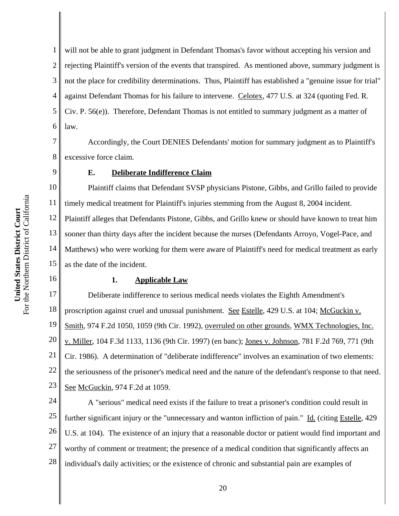1 2 3 4 5 6 will not be able to grant judgment in Defendant Thomas's favor without accepting his version and rejecting Plaintiff's version of the events that transpired. As mentioned above, summary judgment is not the place for credibility determinations. Thus, Plaintiff has established a "genuine issue for trial" against Defendant Thomas for his failure to intervene. Celotex, 477 U.S. at 324 (quoting Fed. R. Civ. P. 56(e)). Therefore, Defendant Thomas is not entitled to summary judgment as a matter of law.

7 8 Accordingly, the Court DENIES Defendants' motion for summary judgment as to Plaintiff's excessive force claim.

9

### **E. Deliberate Indifference Claim**

10 11 12 13 14 15 Plaintiff claims that Defendant SVSP physicians Pistone, Gibbs, and Grillo failed to provide timely medical treatment for Plaintiff's injuries stemming from the August 8, 2004 incident. Plaintiff alleges that Defendants Pistone, Gibbs, and Grillo knew or should have known to treat him sooner than thirty days after the incident because the nurses (Defendants Arroyo, Vogel-Pace, and Matthews) who were working for them were aware of Plaintiff's need for medical treatment as early as the date of the incident.

16

#### **1. Applicable Law**

17 18 19 20 21 22 23 Deliberate indifference to serious medical needs violates the Eighth Amendment's proscription against cruel and unusual punishment. See Estelle, 429 U.S. at 104; McGuckin v. Smith, 974 F.2d 1050, 1059 (9th Cir. 1992), overruled on other grounds, WMX Technologies, Inc. v. Miller, 104 F.3d 1133, 1136 (9th Cir. 1997) (en banc); Jones v. Johnson, 781 F.2d 769, 771 (9th Cir. 1986). A determination of "deliberate indifference" involves an examination of two elements: the seriousness of the prisoner's medical need and the nature of the defendant's response to that need. See McGuckin, 974 F.2d at 1059.

24 25 26 27 28 A "serious" medical need exists if the failure to treat a prisoner's condition could result in further significant injury or the "unnecessary and wanton infliction of pain." Id. (citing Estelle, 429 U.S. at 104). The existence of an injury that a reasonable doctor or patient would find important and worthy of comment or treatment; the presence of a medical condition that significantly affects an individual's daily activities; or the existence of chronic and substantial pain are examples of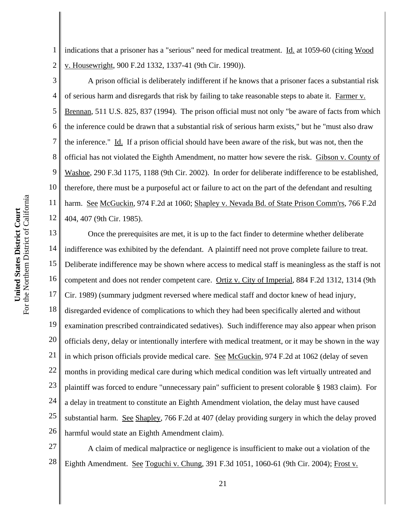1 2 indications that a prisoner has a "serious" need for medical treatment. Id. at 1059-60 (citing Wood v. Housewright, 900 F.2d 1332, 1337-41 (9th Cir. 1990)).

3 4 5 6 7 8 9 10 11 12 A prison official is deliberately indifferent if he knows that a prisoner faces a substantial risk of serious harm and disregards that risk by failing to take reasonable steps to abate it. Farmer v. Brennan, 511 U.S. 825, 837 (1994). The prison official must not only "be aware of facts from which the inference could be drawn that a substantial risk of serious harm exists," but he "must also draw the inference." Id. If a prison official should have been aware of the risk, but was not, then the official has not violated the Eighth Amendment, no matter how severe the risk. Gibson v. County of Washoe, 290 F.3d 1175, 1188 (9th Cir. 2002). In order for deliberate indifference to be established, therefore, there must be a purposeful act or failure to act on the part of the defendant and resulting harm. See McGuckin, 974 F.2d at 1060; Shapley v. Nevada Bd. of State Prison Comm'rs, 766 F.2d 404, 407 (9th Cir. 1985).

13 14 15 16 17 18 19 20 21 22 23 24 25 26 Once the prerequisites are met, it is up to the fact finder to determine whether deliberate indifference was exhibited by the defendant. A plaintiff need not prove complete failure to treat. Deliberate indifference may be shown where access to medical staff is meaningless as the staff is not competent and does not render competent care. Ortiz v. City of Imperial, 884 F.2d 1312, 1314 (9th Cir. 1989) (summary judgment reversed where medical staff and doctor knew of head injury, disregarded evidence of complications to which they had been specifically alerted and without examination prescribed contraindicated sedatives). Such indifference may also appear when prison officials deny, delay or intentionally interfere with medical treatment, or it may be shown in the way in which prison officials provide medical care. See McGuckin, 974 F.2d at 1062 (delay of seven months in providing medical care during which medical condition was left virtually untreated and plaintiff was forced to endure "unnecessary pain" sufficient to present colorable § 1983 claim). For a delay in treatment to constitute an Eighth Amendment violation, the delay must have caused substantial harm. See Shapley, 766 F.2d at 407 (delay providing surgery in which the delay proved harmful would state an Eighth Amendment claim).

27 28 A claim of medical malpractice or negligence is insufficient to make out a violation of the Eighth Amendment. See Toguchi v. Chung, 391 F.3d 1051, 1060-61 (9th Cir. 2004); Frost v.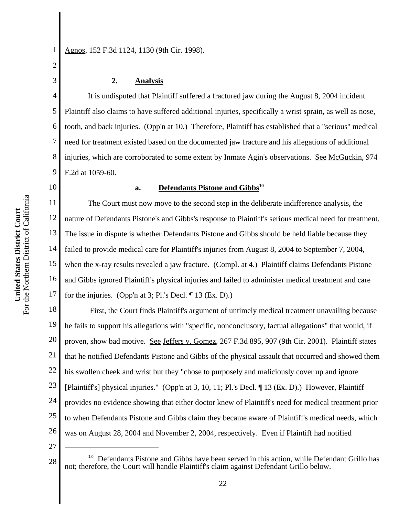1 Agnos, 152 F.3d 1124, 1130 (9th Cir. 1998).

### **2. Analysis**

4 5 6 7 8 9 It is undisputed that Plaintiff suffered a fractured jaw during the August 8, 2004 incident. Plaintiff also claims to have suffered additional injuries, specifically a wrist sprain, as well as nose, tooth, and back injuries. (Opp'n at 10.) Therefore, Plaintiff has established that a "serious" medical need for treatment existed based on the documented jaw fracture and his allegations of additional injuries, which are corroborated to some extent by Inmate Agin's observations. See McGuckin, 974 F.2d at 1059-60.

10

2

3

#### **a.** Defendants Pistone and Gibbs<sup>10</sup>

11 12 13 14 15 16 17 The Court must now move to the second step in the deliberate indifference analysis, the nature of Defendants Pistone's and Gibbs's response to Plaintiff's serious medical need for treatment. The issue in dispute is whether Defendants Pistone and Gibbs should be held liable because they failed to provide medical care for Plaintiff's injuries from August 8, 2004 to September 7, 2004, when the x-ray results revealed a jaw fracture. (Compl. at 4.) Plaintiff claims Defendants Pistone and Gibbs ignored Plaintiff's physical injuries and failed to administer medical treatment and care for the injuries. (Opp'n at 3; Pl.'s Decl. ¶ 13 (Ex. D).)

18 19 20 21 22 23 24 25 26 First, the Court finds Plaintiff's argument of untimely medical treatment unavailing because he fails to support his allegations with "specific, nonconclusory, factual allegations" that would, if proven, show bad motive. See Jeffers v. Gomez, 267 F.3d 895, 907 (9th Cir. 2001). Plaintiff states that he notified Defendants Pistone and Gibbs of the physical assault that occurred and showed them his swollen cheek and wrist but they "chose to purposely and maliciously cover up and ignore [Plaintiff's] physical injuries." (Opp'n at 3, 10, 11; Pl.'s Decl. ¶ 13 (Ex. D).) However, Plaintiff provides no evidence showing that either doctor knew of Plaintiff's need for medical treatment prior to when Defendants Pistone and Gibbs claim they became aware of Plaintiff's medical needs, which was on August 28, 2004 and November 2, 2004, respectively. Even if Plaintiff had notified

<sup>28</sup> **10** Defendants Pistone and Gibbs have been served in this action, while Defendant Grillo has not; therefore, the Court will handle Plaintiff's claim against Defendant Grillo below.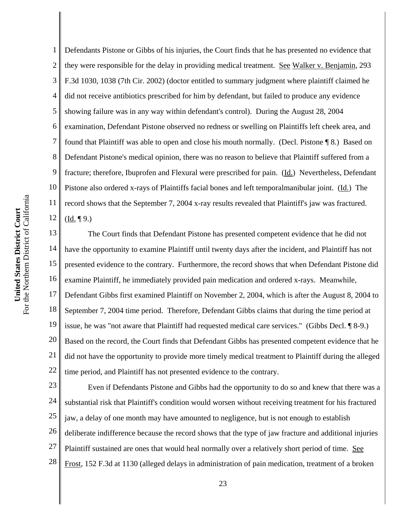1 2 3 4 Defendants Pistone or Gibbs of his injuries, the Court finds that he has presented no evidence that they were responsible for the delay in providing medical treatment. See Walker v. Benjamin, 293 F.3d 1030, 1038 (7th Cir. 2002) (doctor entitled to summary judgment where plaintiff claimed he did not receive antibiotics prescribed for him by defendant, but failed to produce any evidence showing failure was in any way within defendant's control). During the August 28, 2004 examination, Defendant Pistone observed no redness or swelling on Plaintiffs left cheek area, and found that Plaintiff was able to open and close his mouth normally. (Decl. Pistone ¶ 8.) Based on Defendant Pistone's medical opinion, there was no reason to believe that Plaintiff suffered from a fracture; therefore, Ibuprofen and Flexural were prescribed for pain. (Id.) Nevertheless, Defendant Pistone also ordered x-rays of Plaintiffs facial bones and left temporalmanibular joint. (Id.) The record shows that the September 7, 2004 x-ray results revealed that Plaintiff's jaw was fractured.  $(Id. \P 9.)$ 

18 19 20 21 22 The Court finds that Defendant Pistone has presented competent evidence that he did not have the opportunity to examine Plaintiff until twenty days after the incident, and Plaintiff has not presented evidence to the contrary. Furthermore, the record shows that when Defendant Pistone did examine Plaintiff, he immediately provided pain medication and ordered x-rays. Meanwhile, Defendant Gibbs first examined Plaintiff on November 2, 2004, which is after the August 8, 2004 to September 7, 2004 time period. Therefore, Defendant Gibbs claims that during the time period at issue, he was "not aware that Plaintiff had requested medical care services." (Gibbs Decl. ¶ 8-9.) Based on the record, the Court finds that Defendant Gibbs has presented competent evidence that he did not have the opportunity to provide more timely medical treatment to Plaintiff during the alleged time period, and Plaintiff has not presented evidence to the contrary.

23 24 25 26 27 28 Even if Defendants Pistone and Gibbs had the opportunity to do so and knew that there was a substantial risk that Plaintiff's condition would worsen without receiving treatment for his fractured jaw, a delay of one month may have amounted to negligence, but is not enough to establish deliberate indifference because the record shows that the type of jaw fracture and additional injuries Plaintiff sustained are ones that would heal normally over a relatively short period of time. See Frost, 152 F.3d at 1130 (alleged delays in administration of pain medication, treatment of a broken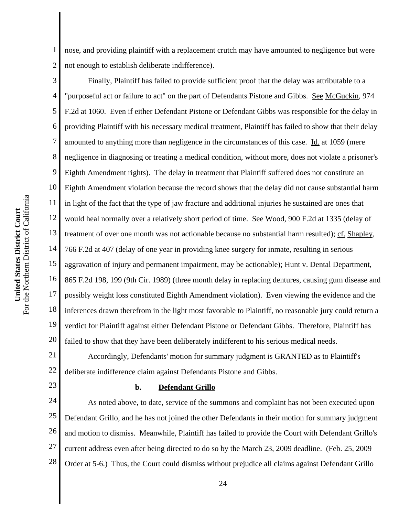1 2 nose, and providing plaintiff with a replacement crutch may have amounted to negligence but were not enough to establish deliberate indifference).

3 4 5 6 7 8 9 10 11 12 13 14 15 16 17 18 19 20 Finally, Plaintiff has failed to provide sufficient proof that the delay was attributable to a "purposeful act or failure to act" on the part of Defendants Pistone and Gibbs. See McGuckin, 974 F.2d at 1060. Even if either Defendant Pistone or Defendant Gibbs was responsible for the delay in providing Plaintiff with his necessary medical treatment, Plaintiff has failed to show that their delay amounted to anything more than negligence in the circumstances of this case. Id. at 1059 (mere negligence in diagnosing or treating a medical condition, without more, does not violate a prisoner's Eighth Amendment rights). The delay in treatment that Plaintiff suffered does not constitute an Eighth Amendment violation because the record shows that the delay did not cause substantial harm in light of the fact that the type of jaw fracture and additional injuries he sustained are ones that would heal normally over a relatively short period of time. See Wood, 900 F.2d at 1335 (delay of treatment of over one month was not actionable because no substantial harm resulted); cf. Shapley, 766 F.2d at 407 (delay of one year in providing knee surgery for inmate, resulting in serious aggravation of injury and permanent impairment, may be actionable); Hunt v. Dental Department, 865 F.2d 198, 199 (9th Cir. 1989) (three month delay in replacing dentures, causing gum disease and possibly weight loss constituted Eighth Amendment violation). Even viewing the evidence and the inferences drawn therefrom in the light most favorable to Plaintiff, no reasonable jury could return a verdict for Plaintiff against either Defendant Pistone or Defendant Gibbs. Therefore, Plaintiff has failed to show that they have been deliberately indifferent to his serious medical needs.

21 22 Accordingly, Defendants' motion for summary judgment is GRANTED as to Plaintiff's deliberate indifference claim against Defendants Pistone and Gibbs.

#### **b. Defendant Grillo**

24 25 26 27 28 As noted above, to date, service of the summons and complaint has not been executed upon Defendant Grillo, and he has not joined the other Defendants in their motion for summary judgment and motion to dismiss. Meanwhile, Plaintiff has failed to provide the Court with Defendant Grillo's current address even after being directed to do so by the March 23, 2009 deadline. (Feb. 25, 2009 Order at 5-6.) Thus, the Court could dismiss without prejudice all claims against Defendant Grillo

23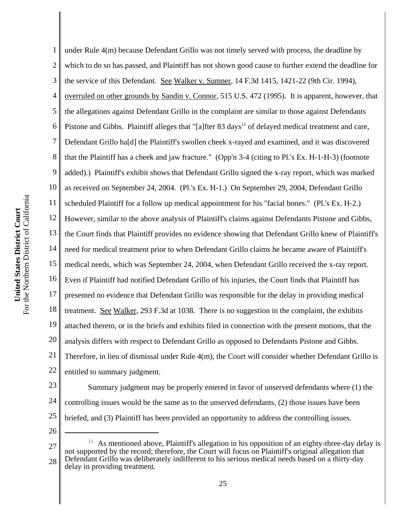3 the service of this Defendant. See Walker v. Sumner, 14 F.3d 1415, 1421-22 (9th Cir. 1994), 4 overruled on other grounds by Sandin v. Connor, 515 U.S. 472 (1995). It is apparent, however, that 5 the allegations against Defendant Grillo in the complaint are similar to those against Defendants Pistone and Gibbs. Plaintiff alleges that "[a]fter 83 days<sup>11</sup> of delayed medical treatment and care, 6 7 Defendant Grillo ha[d] the Plaintiff's swollen cheek x-rayed and examined, and it was discovered 8 that the Plaintiff has a cheek and jaw fracture." (Opp'n 3-4 (citing to Pl.'s Ex. H-1-H-3) (footnote 9 added).) Plaintiff's exhibit shows that Defendant Grillo signed the x-ray report, which was marked 10 as received on September 24, 2004. (Pl.'s Ex. H-1.) On September 29, 2004, Defendant Grillo For the Northern District of California For the Northern District of California 11 scheduled Plaintiff for a follow up medical appointment for his "facial bones." (Pl.'s Ex. H-2.) United States District Court **United States District Court** 12 However, similar to the above analysis of Plaintiff's claims against Defendants Pistone and Gibbs, 13 the Court finds that Plaintiff provides no evidence showing that Defendant Grillo knew of Plaintiff's 14 need for medical treatment prior to when Defendant Grillo claims he became aware of Plaintiff's 15 medical needs, which was September 24, 2004, when Defendant Grillo received the x-ray report. 16 Even if Plaintiff had notified Defendant Grillo of his injuries, the Court finds that Plaintiff has 17 presented no evidence that Defendant Grillo was responsible for the delay in providing medical 18 treatment. See Walker, 293 F.3d at 1038. There is no suggestion in the complaint, the exhibits 19

1

2

- 
- 23 24

20

21

22

entitled to summary judgment.

- 25 26
- 27 28  $11$  As mentioned above, Plaintiff's allegation in his opposition of an eighty-three-day delay is not supported by the record; therefore, the Court will focus on Plaintiff's original allegation that Defendant Grillo was deliberately indifferent to his serious medical needs based on a thirty-day delay in providing treatment.

controlling issues would be the same as to the unserved defendants, (2) those issues have been

briefed, and (3) Plaintiff has been provided an opportunity to address the controlling issues.

attached thereto, or in the briefs and exhibits filed in connection with the present motions, that the

Therefore, in lieu of dismissal under Rule 4(m), the Court will consider whether Defendant Grillo is

Summary judgment may be properly entered in favor of unserved defendants where (1) the

analysis differs with respect to Defendant Grillo as opposed to Defendants Pistone and Gibbs.

under Rule 4(m) because Defendant Grillo was not timely served with process, the deadline by

which to do so has passed, and Plaintiff has not shown good cause to further extend the deadline for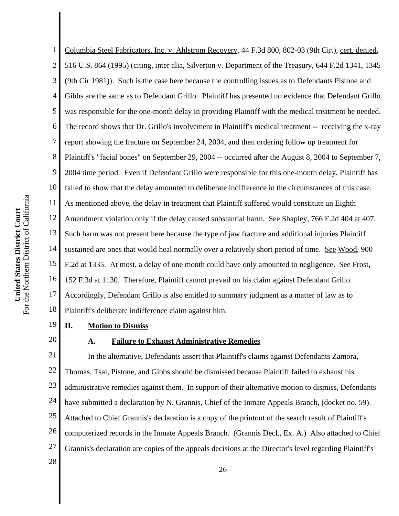3 (9th Cir 1981)). Such is the case here because the controlling issues as to Defendants Pistone and 4 Gibbs are the same as to Defendant Grillo. Plaintiff has presented no evidence that Defendant Grillo 5 was responsible for the one-month delay in providing Plaintiff with the medical treatment he needed. 6 The record shows that Dr. Grillo's involvement in Plaintiff's medical treatment -- receiving the x-ray 7 report showing the fracture on September 24, 2004, and then ordering follow up treatment for 8 Plaintiff's "facial bones" on September 29, 2004 -- occurred after the August 8, 2004 to September 7, 9 2004 time period. Even if Defendant Grillo were responsible for this one-month delay, Plaintiff has 10 failed to show that the delay amounted to deliberate indifference in the circumstances of this case. For the Northern District of California For the Northern District of California 11 As mentioned above, the delay in treatment that Plaintiff suffered would constitute an Eighth United States District Court **United States District Court** 12 Amendment violation only if the delay caused substantial harm. See Shapley, 766 F.2d 404 at 407. 13 Such harm was not present here because the type of jaw fracture and additional injuries Plaintiff 14 sustained are ones that would heal normally over a relatively short period of time. See Wood, 900 15 F.2d at 1335. At most, a delay of one month could have only amounted to negligence. See Frost, 16 152 F.3d at 1130. Therefore, Plaintiff cannot prevail on his claim against Defendant Grillo. 17 Accordingly, Defendant Grillo is also entitled to summary judgment as a matter of law as to 18 Plaintiff's deliberate indifference claim against him.

1

2

19 20

# **II. Motion to Dismiss**

### **A. Failure to Exhaust Administrative Remedies**

21 22 23 24 25 26 27 28 In the alternative, Defendants assert that Plaintiff's claims against Defendants Zamora, Thomas, Tsai, Pistone, and Gibbs should be dismissed because Plaintiff failed to exhaust his administrative remedies against them. In support of their alternative motion to dismiss, Defendants have submitted a declaration by N. Grannis, Chief of the Inmate Appeals Branch, (docket no. 59). Attached to Chief Grannis's declaration is a copy of the printout of the search result of Plaintiff's computerized records in the Inmate Appeals Branch. (Grannis Decl., Ex. A.) Also attached to Chief Grannis's declaration are copies of the appeals decisions at the Director's level regarding Plaintiff's

Columbia Steel Fabricators, Inc. v. Ahlstrom Recovery, 44 F.3d 800, 802-03 (9th Cir.), cert. denied,

516 U.S. 864 (1995) (citing, inter alia, Silverton v. Department of the Treasury, 644 F.2d 1341, 1345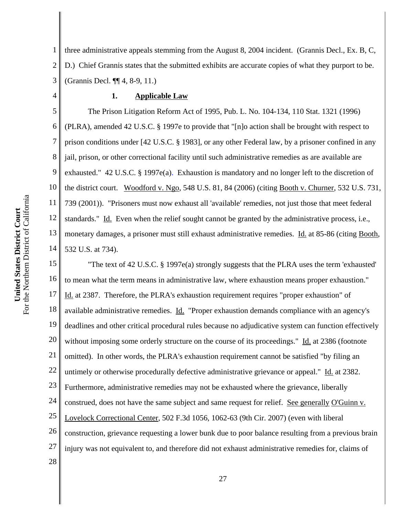1 2 3 three administrative appeals stemming from the August 8, 2004 incident. (Grannis Decl., Ex. B, C, D.) Chief Grannis states that the submitted exhibits are accurate copies of what they purport to be. (Grannis Decl. ¶¶ 4, 8-9, 11.)

#### **1. Applicable Law**

5 6 7 8 9 10 11 12 13 14 The Prison Litigation Reform Act of 1995, Pub. L. No. 104-134, 110 Stat. 1321 (1996) (PLRA), amended 42 U.S.C. § 1997e to provide that "[n]o action shall be brought with respect to prison conditions under [42 U.S.C. § 1983], or any other Federal law, by a prisoner confined in any jail, prison, or other correctional facility until such administrative remedies as are available are exhausted." 42 U.S.C. § 1997e(a). Exhaustion is mandatory and no longer left to the discretion of the district court. Woodford v. Ngo, 548 U.S. 81, 84 (2006) (citing Booth v. Churner, 532 U.S. 731, 739 (2001)). "Prisoners must now exhaust all 'available' remedies, not just those that meet federal standards." Id. Even when the relief sought cannot be granted by the administrative process, i.e., monetary damages, a prisoner must still exhaust administrative remedies. Id. at 85-86 (citing Booth, 532 U.S. at 734).

15 16 17 18 19 20 21 22 23 24 25 26 27 28 "The text of 42 U.S.C. § 1997e(a) strongly suggests that the PLRA uses the term 'exhausted' to mean what the term means in administrative law, where exhaustion means proper exhaustion." Id. at 2387. Therefore, the PLRA's exhaustion requirement requires "proper exhaustion" of available administrative remedies. Id. "Proper exhaustion demands compliance with an agency's deadlines and other critical procedural rules because no adjudicative system can function effectively without imposing some orderly structure on the course of its proceedings." Id. at 2386 (footnote omitted). In other words, the PLRA's exhaustion requirement cannot be satisfied "by filing an untimely or otherwise procedurally defective administrative grievance or appeal." Id. at 2382. Furthermore, administrative remedies may not be exhausted where the grievance, liberally construed, does not have the same subject and same request for relief. See generally O'Guinn v. Lovelock Correctional Center, 502 F.3d 1056, 1062-63 (9th Cir. 2007) (even with liberal construction, grievance requesting a lower bunk due to poor balance resulting from a previous brain injury was not equivalent to, and therefore did not exhaust administrative remedies for, claims of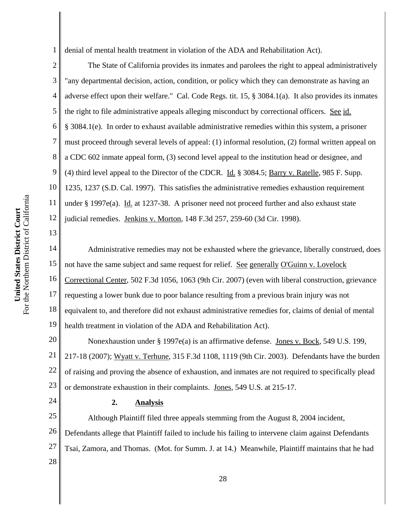1 denial of mental health treatment in violation of the ADA and Rehabilitation Act).

2 3 4 5 6 7 8 9 10 11 12 The State of California provides its inmates and parolees the right to appeal administratively "any departmental decision, action, condition, or policy which they can demonstrate as having an adverse effect upon their welfare." Cal. Code Regs. tit. 15, § 3084.1(a). It also provides its inmates the right to file administrative appeals alleging misconduct by correctional officers. See id. § 3084.1(e). In order to exhaust available administrative remedies within this system, a prisoner must proceed through several levels of appeal: (1) informal resolution, (2) formal written appeal on a CDC 602 inmate appeal form, (3) second level appeal to the institution head or designee, and (4) third level appeal to the Director of the CDCR. Id. § 3084.5; Barry v. Ratelle, 985 F. Supp. 1235, 1237 (S.D. Cal. 1997). This satisfies the administrative remedies exhaustion requirement under § 1997e(a). Id. at 1237-38. A prisoner need not proceed further and also exhaust state judicial remedies. Jenkins v. Morton, 148 F.3d 257, 259-60 (3d Cir. 1998).

14 15 16 17 18 19 Administrative remedies may not be exhausted where the grievance, liberally construed, does not have the same subject and same request for relief. See generally O'Guinn v. Lovelock Correctional Center, 502 F.3d 1056, 1063 (9th Cir. 2007) (even with liberal construction, grievance requesting a lower bunk due to poor balance resulting from a previous brain injury was not equivalent to, and therefore did not exhaust administrative remedies for, claims of denial of mental health treatment in violation of the ADA and Rehabilitation Act).

20 21 22 23 Nonexhaustion under § 1997e(a) is an affirmative defense. Jones v. Bock, 549 U.S. 199, 217-18 (2007); Wyatt v. Terhune, 315 F.3d 1108, 1119 (9th Cir. 2003). Defendants have the burden of raising and proving the absence of exhaustion, and inmates are not required to specifically plead or demonstrate exhaustion in their complaints. Jones, 549 U.S. at 215-17.

## **2. Analysis**

25 26 27 28 Although Plaintiff filed three appeals stemming from the August 8, 2004 incident, Defendants allege that Plaintiff failed to include his failing to intervene claim against Defendants Tsai, Zamora, and Thomas. (Mot. for Summ. J. at 14.) Meanwhile, Plaintiff maintains that he had

13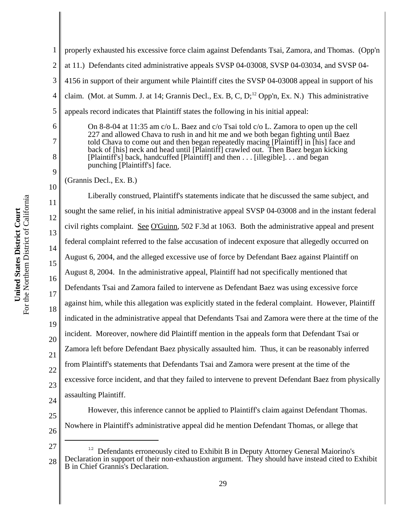1 2 3 4 5 properly exhausted his excessive force claim against Defendants Tsai, Zamora, and Thomas. (Opp'n at 11.) Defendants cited administrative appeals SVSP 04-03008, SVSP 04-03034, and SVSP 04- 4156 in support of their argument while Plaintiff cites the SVSP 04-03008 appeal in support of his claim. (Mot. at Summ. J. at 14; Grannis Decl., Ex. B, C, D;<sup>12</sup> Opp'n, Ex. N.) This administrative appeals record indicates that Plaintiff states the following in his initial appeal:

On 8-8-04 at 11:35 am c/o L. Baez and c/o Tsai told c/o L. Zamora to open up the cell 227 and allowed Chava to rush in and hit me and we both began fighting until Baez told Chava to come out and then began repeatedly macing [Plaintiff] in [his] face and back of [his] neck and head until [Plaintiff] crawled out. Then Baez began kicking [Plaintiff's] back, handcuffed [Plaintiff] and then . . . [illegible]. . . and began punching [Plaintiff's] face.

(Grannis Decl., Ex. B.)

6

7

8

9

10

11

14

15

17

21

12 13 16 18 19 20 22 23 Liberally construed, Plaintiff's statements indicate that he discussed the same subject, and sought the same relief, in his initial administrative appeal SVSP 04-03008 and in the instant federal civil rights complaint. See O'Guinn, 502 F.3d at 1063. Both the administrative appeal and present federal complaint referred to the false accusation of indecent exposure that allegedly occurred on August 6, 2004, and the alleged excessive use of force by Defendant Baez against Plaintiff on August 8, 2004. In the administrative appeal, Plaintiff had not specifically mentioned that Defendants Tsai and Zamora failed to intervene as Defendant Baez was using excessive force against him, while this allegation was explicitly stated in the federal complaint. However, Plaintiff indicated in the administrative appeal that Defendants Tsai and Zamora were there at the time of the incident. Moreover, nowhere did Plaintiff mention in the appeals form that Defendant Tsai or Zamora left before Defendant Baez physically assaulted him. Thus, it can be reasonably inferred from Plaintiff's statements that Defendants Tsai and Zamora were present at the time of the excessive force incident, and that they failed to intervene to prevent Defendant Baez from physically assaulting Plaintiff.

24 25

26

Nowhere in Plaintiff's administrative appeal did he mention Defendant Thomas, or allege that

However, this inference cannot be applied to Plaintiff's claim against Defendant Thomas.

<sup>27</sup> 28 <sup>12</sup> Defendants erroneously cited to Exhibit B in Deputy Attorney General Maiorino's Declaration in support of their non-exhaustion argument. They should have instead cited to Exhibit B in Chief Grannis's Declaration.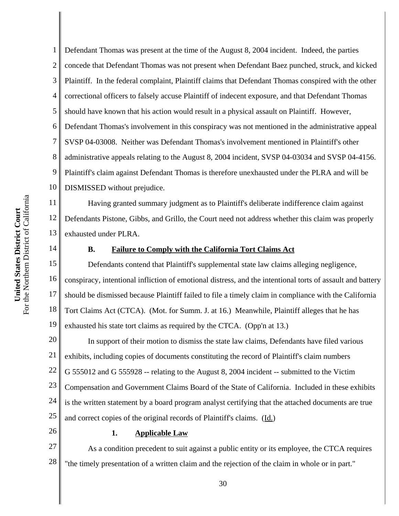2 3 4 Defendant Thomas was present at the time of the August 8, 2004 incident. Indeed, the parties concede that Defendant Thomas was not present when Defendant Baez punched, struck, and kicked Plaintiff. In the federal complaint, Plaintiff claims that Defendant Thomas conspired with the other correctional officers to falsely accuse Plaintiff of indecent exposure, and that Defendant Thomas should have known that his action would result in a physical assault on Plaintiff. However, Defendant Thomas's involvement in this conspiracy was not mentioned in the administrative appeal SVSP 04-03008. Neither was Defendant Thomas's involvement mentioned in Plaintiff's other administrative appeals relating to the August 8, 2004 incident, SVSP 04-03034 and SVSP 04-4156. Plaintiff's claim against Defendant Thomas is therefore unexhausted under the PLRA and will be DISMISSED without prejudice.

Having granted summary judgment as to Plaintiff's deliberate indifference claim against Defendants Pistone, Gibbs, and Grillo, the Court need not address whether this claim was properly exhausted under PLRA.

### **B. Failure to Comply with the California Tort Claims Act**

18 19 Defendants contend that Plaintiff's supplemental state law claims alleging negligence, conspiracy, intentional infliction of emotional distress, and the intentional torts of assault and battery should be dismissed because Plaintiff failed to file a timely claim in compliance with the California Tort Claims Act (CTCA). (Mot. for Summ. J. at 16.) Meanwhile, Plaintiff alleges that he has exhausted his state tort claims as required by the CTCA. (Opp'n at 13.)

20 21 22 23 24 25 In support of their motion to dismiss the state law claims, Defendants have filed various exhibits, including copies of documents constituting the record of Plaintiff's claim numbers G 555012 and G 555928 -- relating to the August 8, 2004 incident -- submitted to the Victim Compensation and Government Claims Board of the State of California. Included in these exhibits is the written statement by a board program analyst certifying that the attached documents are true and correct copies of the original records of Plaintiff's claims. (Id.)

26

## **1. Applicable Law**

27 28 As a condition precedent to suit against a public entity or its employee, the CTCA requires "the timely presentation of a written claim and the rejection of the claim in whole or in part."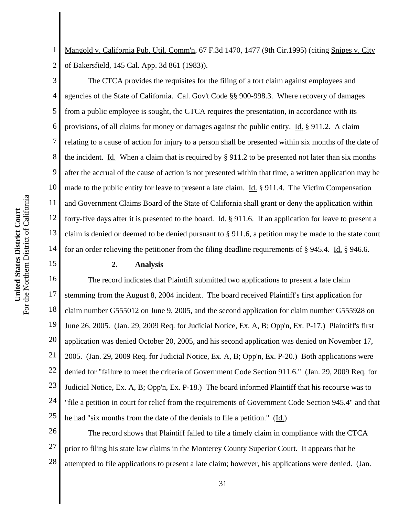1 2 Mangold v. California Pub. Util. Comm'n, 67 F.3d 1470, 1477 (9th Cir.1995) (citing Snipes v. City of Bakersfield, 145 Cal. App. 3d 861 (1983)).

3 4 5 6 7 8 9 10 11 12 13 14 The CTCA provides the requisites for the filing of a tort claim against employees and agencies of the State of California. Cal. Gov't Code §§ 900-998.3. Where recovery of damages from a public employee is sought, the CTCA requires the presentation, in accordance with its provisions, of all claims for money or damages against the public entity. Id. § 911.2. A claim relating to a cause of action for injury to a person shall be presented within six months of the date of the incident. Id. When a claim that is required by  $\S 911.2$  to be presented not later than six months after the accrual of the cause of action is not presented within that time, a written application may be made to the public entity for leave to present a late claim. Id. § 911.4. The Victim Compensation and Government Claims Board of the State of California shall grant or deny the application within forty-five days after it is presented to the board. Id. § 911.6. If an application for leave to present a claim is denied or deemed to be denied pursuant to § 911.6, a petition may be made to the state court for an order relieving the petitioner from the filing deadline requirements of § 945.4. Id. § 946.6.

### **2. Analysis**

16 17 18 19 20 21 22 23 24 25 The record indicates that Plaintiff submitted two applications to present a late claim stemming from the August 8, 2004 incident. The board received Plaintiff's first application for claim number G555012 on June 9, 2005, and the second application for claim number G555928 on June 26, 2005. (Jan. 29, 2009 Req. for Judicial Notice, Ex. A, B; Opp'n, Ex. P-17.) Plaintiff's first application was denied October 20, 2005, and his second application was denied on November 17, 2005. (Jan. 29, 2009 Req. for Judicial Notice, Ex. A, B; Opp'n, Ex. P-20.) Both applications were denied for "failure to meet the criteria of Government Code Section 911.6." (Jan. 29, 2009 Req. for Judicial Notice, Ex. A, B; Opp'n, Ex. P-18.) The board informed Plaintiff that his recourse was to "file a petition in court for relief from the requirements of Government Code Section 945.4" and that he had "six months from the date of the denials to file a petition." (Id.)

26 27 28 The record shows that Plaintiff failed to file a timely claim in compliance with the CTCA prior to filing his state law claims in the Monterey County Superior Court. It appears that he attempted to file applications to present a late claim; however, his applications were denied. (Jan.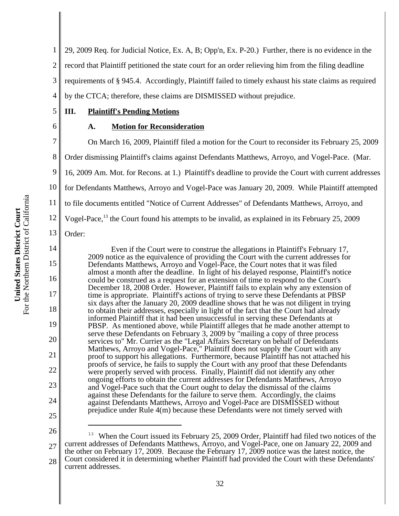1 2 3 4 29, 2009 Req. for Judicial Notice, Ex. A, B; Opp'n, Ex. P-20.) Further, there is no evidence in the record that Plaintiff petitioned the state court for an order relieving him from the filing deadline requirements of § 945.4. Accordingly, Plaintiff failed to timely exhaust his state claims as required by the CTCA; therefore, these claims are DISMISSED without prejudice.

# **III. Plaintiff's Pending Motions**

6

5

# **A. Motion for Reconsideration**

7 8 9 10 11 12 13 On March 16, 2009, Plaintiff filed a motion for the Court to reconsider its February 25, 2009 Order dismissing Plaintiff's claims against Defendants Matthews, Arroyo, and Vogel-Pace. (Mar. 16, 2009 Am. Mot. for Recons. at 1.) Plaintiff's deadline to provide the Court with current addresses for Defendants Matthews, Arroyo and Vogel-Pace was January 20, 2009. While Plaintiff attempted to file documents entitled "Notice of Current Addresses" of Defendants Matthews, Arroyo, and Vogel-Pace,<sup>13</sup> the Court found his attempts to be invalid, as explained in its February 25, 2009

Order:

14

15

16

17

18

19

20

21

22

23

24

Even if the Court were to construe the allegations in Plaintiff's February 17, 2009 notice as the equivalence of providing the Court with the current addresses for Defendants Matthews, Arroyo and Vogel-Pace, the Court notes that it was filed almost a month after the deadline. In light of his delayed response, Plaintiff's notice could be construed as a request for an extension of time to respond to the Court's December 18, 2008 Order. However, Plaintiff fails to explain why any extension of time is appropriate. Plaintiff's actions of trying to serve these Defendants at PBSP six days after the January 20, 2009 deadline shows that he was not diligent in trying to obtain their addresses, especially in light of the fact that the Court had already informed Plaintiff that it had been unsuccessful in serving these Defendants at PBSP. As mentioned above, while Plaintiff alleges that he made another attempt to serve these Defendants on February 3, 2009 by "mailing a copy of three process services to" Mr. Currier as the "Legal Affairs Secretary on behalf of Defendants Matthews, Arroyo and Vogel-Pace," Plaintiff does not supply the Court with any proof to support his allegations. Furthermore, because Plaintiff has not attached his proofs of service, he fails to supply the Court with any proof that these Defendants were properly served with process. Finally, Plaintiff did not identify any other ongoing efforts to obtain the current addresses for Defendants Matthews, Arroyo and Vogel-Pace such that the Court ought to delay the dismissal of the claims against these Defendants for the failure to serve them. Accordingly, the claims against Defendants Matthews, Arroyo and Vogel-Pace are DISMISSED without prejudice under Rule 4(m) because these Defendants were not timely served with

<sup>27</sup> 28 <sup>13</sup> When the Court issued its February 25, 2009 Order, Plaintiff had filed two notices of the current addresses of Defendants Matthews, Arroyo, and Vogel-Pace, one on January 22, 2009 and the other on February 17, 2009. Because the February 17, 2009 notice was the latest notice, the Court considered it in determining whether Plaintiff had provided the Court with these Defendants' current addresses.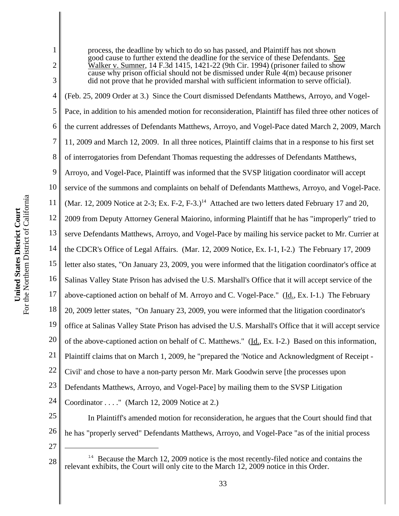For the Northern District of California For the Northern District of California United States District Court **United States District Court**

1 2 3 4 5 6 7 8 9 10 11 12 13 14 15 16 17 18 19 20 21 22 23 24 25 26 27 process, the deadline by which to do so has passed, and Plaintiff has not shown good cause to further extend the deadline for the service of these Defendants. See Walker v. Sumner, 14 F.3d 1415, 1421-22 (9th Cir. 1994) (prisoner failed to show cause why prison official should not be dismissed under Rule 4(m) because prisoner did not prove that he provided marshal with sufficient information to serve official). (Feb. 25, 2009 Order at 3.) Since the Court dismissed Defendants Matthews, Arroyo, and Vogel-Pace, in addition to his amended motion for reconsideration, Plaintiff has filed three other notices of the current addresses of Defendants Matthews, Arroyo, and Vogel-Pace dated March 2, 2009, March 11, 2009 and March 12, 2009. In all three notices, Plaintiff claims that in a response to his first set of interrogatories from Defendant Thomas requesting the addresses of Defendants Matthews, Arroyo, and Vogel-Pace, Plaintiff was informed that the SVSP litigation coordinator will accept service of the summons and complaints on behalf of Defendants Matthews, Arroyo, and Vogel-Pace. (Mar. 12, 2009 Notice at 2-3; Ex. F-2, F-3.)<sup>14</sup> Attached are two letters dated February 17 and 20, 2009 from Deputy Attorney General Maiorino, informing Plaintiff that he has "improperly" tried to serve Defendants Matthews, Arroyo, and Vogel-Pace by mailing his service packet to Mr. Currier at the CDCR's Office of Legal Affairs. (Mar. 12, 2009 Notice, Ex. I-1, I-2.) The February 17, 2009 letter also states, "On January 23, 2009, you were informed that the litigation coordinator's office at Salinas Valley State Prison has advised the U.S. Marshall's Office that it will accept service of the above-captioned action on behalf of M. Arroyo and C. Vogel-Pace." (Id., Ex. I-1.) The February 20, 2009 letter states, "On January 23, 2009, you were informed that the litigation coordinator's office at Salinas Valley State Prison has advised the U.S. Marshall's Office that it will accept service of the above-captioned action on behalf of C. Matthews." (Id., Ex. I-2.) Based on this information, Plaintiff claims that on March 1, 2009, he "prepared the 'Notice and Acknowledgment of Receipt - Civil' and chose to have a non-party person Mr. Mark Goodwin serve [the processes upon Defendants Matthews, Arroyo, and Vogel-Pace] by mailing them to the SVSP Litigation Coordinator . . . ." (March 12, 2009 Notice at 2.) In Plaintiff's amended motion for reconsideration, he argues that the Court should find that he has "properly served" Defendants Matthews, Arroyo, and Vogel-Pace "as of the initial process

<sup>28</sup> **14** Because the March 12, 2009 notice is the most recently-filed notice and contains the relevant exhibits, the Court will only cite to the March 12, 2009 notice in this Order.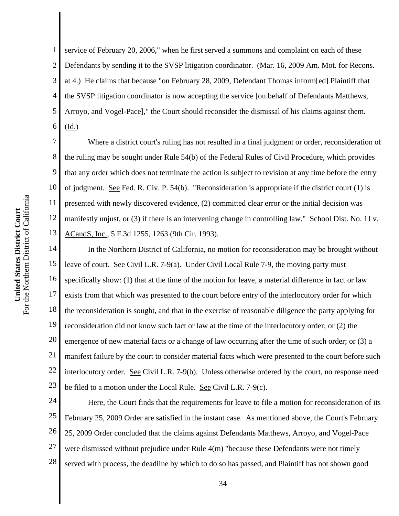1 2 3 4 5 6 service of February 20, 2006," when he first served a summons and complaint on each of these Defendants by sending it to the SVSP litigation coordinator. (Mar. 16, 2009 Am. Mot. for Recons. at 4.) He claims that because "on February 28, 2009, Defendant Thomas inform[ed] Plaintiff that the SVSP litigation coordinator is now accepting the service [on behalf of Defendants Matthews, Arroyo, and Vogel-Pace]," the Court should reconsider the dismissal of his claims against them. (Id.)

7 8 9 10 11 12 13 Where a district court's ruling has not resulted in a final judgment or order, reconsideration of the ruling may be sought under Rule 54(b) of the Federal Rules of Civil Procedure, which provides that any order which does not terminate the action is subject to revision at any time before the entry of judgment. See Fed. R. Civ. P. 54(b). "Reconsideration is appropriate if the district court (1) is presented with newly discovered evidence, (2) committed clear error or the initial decision was manifestly unjust, or (3) if there is an intervening change in controlling law." School Dist. No. 1J v. ACandS, Inc., 5 F.3d 1255, 1263 (9th Cir. 1993).

14 15 16 17 18 19 20 21 22 23 In the Northern District of California, no motion for reconsideration may be brought without leave of court. See Civil L.R. 7-9(a). Under Civil Local Rule 7-9, the moving party must specifically show: (1) that at the time of the motion for leave, a material difference in fact or law exists from that which was presented to the court before entry of the interlocutory order for which the reconsideration is sought, and that in the exercise of reasonable diligence the party applying for reconsideration did not know such fact or law at the time of the interlocutory order; or (2) the emergence of new material facts or a change of law occurring after the time of such order; or (3) a manifest failure by the court to consider material facts which were presented to the court before such interlocutory order. <u>See</u> Civil L.R. 7-9(b). Unless otherwise ordered by the court, no response need be filed to a motion under the Local Rule. See Civil L.R. 7-9(c).

24 25 26 27 28 Here, the Court finds that the requirements for leave to file a motion for reconsideration of its February 25, 2009 Order are satisfied in the instant case. As mentioned above, the Court's February 25, 2009 Order concluded that the claims against Defendants Matthews, Arroyo, and Vogel-Pace were dismissed without prejudice under Rule 4(m) "because these Defendants were not timely served with process, the deadline by which to do so has passed, and Plaintiff has not shown good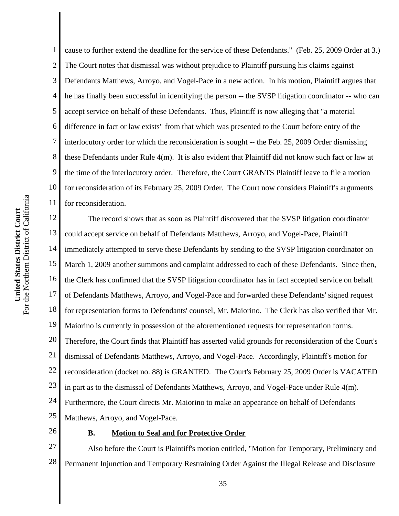5 6 7 8 9 10 For the Northern District of California For the Northern District of California 11 United States District Court **United States District Court** 12 13 14 15 16 17

1

2 3 4 cause to further extend the deadline for the service of these Defendants." (Feb. 25, 2009 Order at 3.) The Court notes that dismissal was without prejudice to Plaintiff pursuing his claims against Defendants Matthews, Arroyo, and Vogel-Pace in a new action. In his motion, Plaintiff argues that he has finally been successful in identifying the person -- the SVSP litigation coordinator -- who can accept service on behalf of these Defendants. Thus, Plaintiff is now alleging that "a material difference in fact or law exists" from that which was presented to the Court before entry of the interlocutory order for which the reconsideration is sought -- the Feb. 25, 2009 Order dismissing these Defendants under Rule 4(m). It is also evident that Plaintiff did not know such fact or law at the time of the interlocutory order. Therefore, the Court GRANTS Plaintiff leave to file a motion for reconsideration of its February 25, 2009 Order. The Court now considers Plaintiff's arguments for reconsideration.

18 19 20 21 22 23 24 25 The record shows that as soon as Plaintiff discovered that the SVSP litigation coordinator could accept service on behalf of Defendants Matthews, Arroyo, and Vogel-Pace, Plaintiff immediately attempted to serve these Defendants by sending to the SVSP litigation coordinator on March 1, 2009 another summons and complaint addressed to each of these Defendants. Since then, the Clerk has confirmed that the SVSP litigation coordinator has in fact accepted service on behalf of Defendants Matthews, Arroyo, and Vogel-Pace and forwarded these Defendants' signed request for representation forms to Defendants' counsel, Mr. Maiorino. The Clerk has also verified that Mr. Maiorino is currently in possession of the aforementioned requests for representation forms. Therefore, the Court finds that Plaintiff has asserted valid grounds for reconsideration of the Court's dismissal of Defendants Matthews, Arroyo, and Vogel-Pace. Accordingly, Plaintiff's motion for reconsideration (docket no. 88) is GRANTED. The Court's February 25, 2009 Order is VACATED in part as to the dismissal of Defendants Matthews, Arroyo, and Vogel-Pace under Rule 4(m). Furthermore, the Court directs Mr. Maiorino to make an appearance on behalf of Defendants Matthews, Arroyo, and Vogel-Pace.

26

## **B. Motion to Seal and for Protective Order**

27 28 Also before the Court is Plaintiff's motion entitled, "Motion for Temporary, Preliminary and Permanent Injunction and Temporary Restraining Order Against the Illegal Release and Disclosure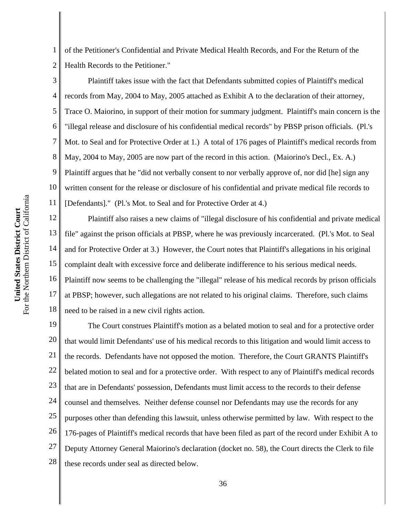1 2 of the Petitioner's Confidential and Private Medical Health Records, and For the Return of the Health Records to the Petitioner."

3 4 5 6 7 8 9 10 11 Plaintiff takes issue with the fact that Defendants submitted copies of Plaintiff's medical records from May, 2004 to May, 2005 attached as Exhibit A to the declaration of their attorney, Trace O. Maiorino, in support of their motion for summary judgment. Plaintiff's main concern is the "illegal release and disclosure of his confidential medical records" by PBSP prison officials. (Pl.'s Mot. to Seal and for Protective Order at 1.) A total of 176 pages of Plaintiff's medical records from May, 2004 to May, 2005 are now part of the record in this action. (Maiorino's Decl., Ex. A.) Plaintiff argues that he "did not verbally consent to nor verbally approve of, nor did [he] sign any written consent for the release or disclosure of his confidential and private medical file records to [Defendants]." (Pl.'s Mot. to Seal and for Protective Order at 4.)

12 13 14 15 16 17 18 Plaintiff also raises a new claims of "illegal disclosure of his confidential and private medical file" against the prison officials at PBSP, where he was previously incarcerated. (Pl.'s Mot. to Seal and for Protective Order at 3.) However, the Court notes that Plaintiff's allegations in his original complaint dealt with excessive force and deliberate indifference to his serious medical needs. Plaintiff now seems to be challenging the "illegal" release of his medical records by prison officials at PBSP; however, such allegations are not related to his original claims. Therefore, such claims need to be raised in a new civil rights action.

19 20 21 22 23 24 25 26 27 28 The Court construes Plaintiff's motion as a belated motion to seal and for a protective order that would limit Defendants' use of his medical records to this litigation and would limit access to the records. Defendants have not opposed the motion. Therefore, the Court GRANTS Plaintiff's belated motion to seal and for a protective order. With respect to any of Plaintiff's medical records that are in Defendants' possession, Defendants must limit access to the records to their defense counsel and themselves. Neither defense counsel nor Defendants may use the records for any purposes other than defending this lawsuit, unless otherwise permitted by law. With respect to the 176-pages of Plaintiff's medical records that have been filed as part of the record under Exhibit A to Deputy Attorney General Maiorino's declaration (docket no. 58), the Court directs the Clerk to file these records under seal as directed below.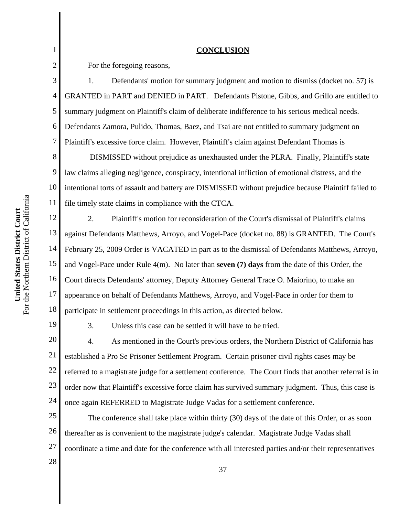#### **CONCLUSION**

For the foregoing reasons,

1. Defendants' motion for summary judgment and motion to dismiss (docket no. 57) is GRANTED in PART and DENIED in PART. Defendants Pistone, Gibbs, and Grillo are entitled to summary judgment on Plaintiff's claim of deliberate indifference to his serious medical needs. Defendants Zamora, Pulido, Thomas, Baez, and Tsai are not entitled to summary judgment on Plaintiff's excessive force claim. However, Plaintiff's claim against Defendant Thomas is

8 9 10 11 DISMISSED without prejudice as unexhausted under the PLRA. Finally, Plaintiff's state law claims alleging negligence, conspiracy, intentional infliction of emotional distress, and the intentional torts of assault and battery are DISMISSED without prejudice because Plaintiff failed to file timely state claims in compliance with the CTCA.

12 13 14 15 16 17 18 2. Plaintiff's motion for reconsideration of the Court's dismissal of Plaintiff's claims against Defendants Matthews, Arroyo, and Vogel-Pace (docket no. 88) is GRANTED. The Court's February 25, 2009 Order is VACATED in part as to the dismissal of Defendants Matthews, Arroyo, and Vogel-Pace under Rule 4(m). No later than **seven (7) days** from the date of this Order, the Court directs Defendants' attorney, Deputy Attorney General Trace O. Maiorino, to make an appearance on behalf of Defendants Matthews, Arroyo, and Vogel-Pace in order for them to participate in settlement proceedings in this action, as directed below.

19

1

2

3

4

5

6

7

3. Unless this case can be settled it will have to be tried.

20 21 22 23 24 4. As mentioned in the Court's previous orders, the Northern District of California has established a Pro Se Prisoner Settlement Program. Certain prisoner civil rights cases may be referred to a magistrate judge for a settlement conference. The Court finds that another referral is in order now that Plaintiff's excessive force claim has survived summary judgment. Thus, this case is once again REFERRED to Magistrate Judge Vadas for a settlement conference.

25 26 27 The conference shall take place within thirty (30) days of the date of this Order, or as soon thereafter as is convenient to the magistrate judge's calendar. Magistrate Judge Vadas shall coordinate a time and date for the conference with all interested parties and/or their representatives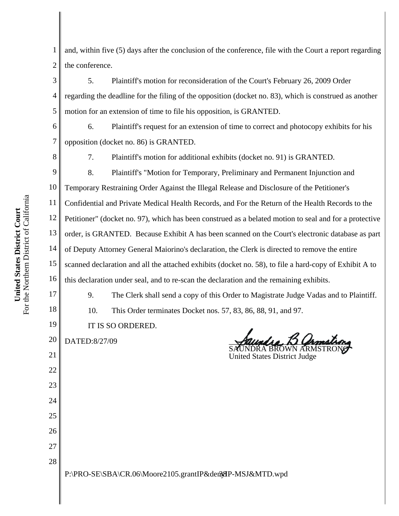For the Northern District of California For the Northern District of California United States District Court **United States District Court**

| 6  | Plaintiff's request for an extension of time to correct and photocopy exhibits for his<br>6.           |
|----|--------------------------------------------------------------------------------------------------------|
| 7  | opposition (docket no. 86) is GRANTED.                                                                 |
| 8  | 7.<br>Plaintiff's motion for additional exhibits (docket no. 91) is GRANTED.                           |
| 9  | 8.<br>Plaintiff's "Motion for Temporary, Preliminary and Permanent Injunction and                      |
| 10 | Temporary Restraining Order Against the Illegal Release and Disclosure of the Petitioner's             |
| 11 | Confidential and Private Medical Health Records, and For the Return of the Health Records to the       |
| 12 | Petitioner" (docket no. 97), which has been construed as a belated motion to seal and for a protective |
| 13 | order, is GRANTED. Because Exhibit A has been scanned on the Court's electronic database as pa         |
| 14 | of Deputy Attorney General Maiorino's declaration, the Clerk is directed to remove the entire          |
| 15 | scanned declaration and all the attached exhibits (docket no. 58), to file a hard-copy of Exhibit A to |
| 16 | this declaration under seal, and to re-scan the declaration and the remaining exhibits.                |
| 17 | 9.<br>The Clerk shall send a copy of this Order to Magistrate Judge Vadas and to Plaintiff             |
| 18 | 10.<br>This Order terminates Docket nos. 57, 83, 86, 88, 91, and 97.                                   |
| 19 | IT IS SO ORDERED.                                                                                      |
| 20 | DATED:8/27/09                                                                                          |
| 21 | <b>United States District Judge</b>                                                                    |
| 22 |                                                                                                        |
| 23 |                                                                                                        |
| 24 |                                                                                                        |
| 25 |                                                                                                        |
| 26 |                                                                                                        |
| 27 |                                                                                                        |
| 28 |                                                                                                        |
|    | P:\PRO-SE\SBA\CR.06\Moore2105.grantIP&der38P-MSJ&MTD.wpd                                               |

1 2 and, within five (5) days after the conclusion of the conference, file with the Court a report regarding the conference.

3 4 5 5. Plaintiff's motion for reconsideration of the Court's February 26, 2009 Order regarding the deadline for the filing of the opposition (docket no. 83), which is construed as another motion for an extension of time to file his opposition, is GRANTED.